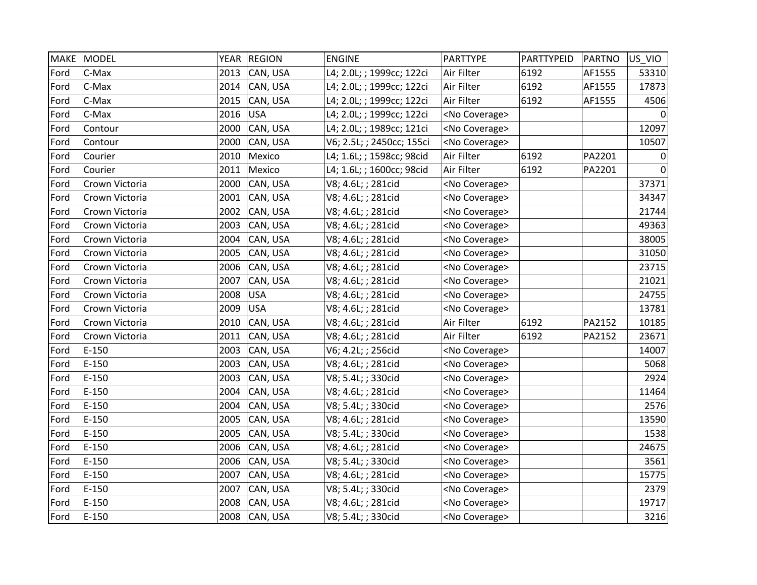| <b>MAKE</b> | MODEL          |      | YEAR REGION   | <b>ENGINE</b>             | <b>PARTTYPE</b>       | PARTTYPEID | <b>PARTNO</b> | US_VIO   |
|-------------|----------------|------|---------------|---------------------------|-----------------------|------------|---------------|----------|
| Ford        | C-Max          | 2013 | CAN, USA      | L4; 2.0L; ; 1999cc; 122ci | Air Filter            | 6192       | AF1555        | 53310    |
| Ford        | C-Max          | 2014 | CAN, USA      | L4; 2.0L; ; 1999cc; 122ci | Air Filter            | 6192       | AF1555        | 17873    |
| Ford        | C-Max          | 2015 | CAN, USA      | L4; 2.0L; ; 1999cc; 122ci | Air Filter            | 6192       | AF1555        | 4506     |
| Ford        | C-Max          | 2016 | USA           | L4; 2.0L; ; 1999cc; 122ci | <no coverage=""></no> |            |               |          |
| Ford        | Contour        | 2000 | CAN, USA      | L4; 2.0L; ; 1989cc; 121ci | <no coverage=""></no> |            |               | 12097    |
| Ford        | Contour        | 2000 | CAN, USA      | V6; 2.5L; ; 2450cc; 155ci | <no coverage=""></no> |            |               | 10507    |
| Ford        | Courier        | 2010 | Mexico        | L4; 1.6L; ; 1598cc; 98cid | Air Filter            | 6192       | PA2201        | $\Omega$ |
| Ford        | Courier        | 2011 | Mexico        | L4; 1.6L; ; 1600cc; 98cid | Air Filter            | 6192       | PA2201        | 0        |
| Ford        | Crown Victoria | 2000 | CAN, USA      | V8; 4.6L; ; 281cid        | <no coverage=""></no> |            |               | 37371    |
| Ford        | Crown Victoria | 2001 | CAN, USA      | V8; 4.6L; ; 281cid        | <no coverage=""></no> |            |               | 34347    |
| Ford        | Crown Victoria | 2002 | CAN, USA      | V8; 4.6L; ; 281cid        | <no coverage=""></no> |            |               | 21744    |
| Ford        | Crown Victoria | 2003 | CAN, USA      | V8; 4.6L; ; 281cid        | <no coverage=""></no> |            |               | 49363    |
| Ford        | Crown Victoria | 2004 | CAN, USA      | V8; 4.6L; ; 281cid        | <no coverage=""></no> |            |               | 38005    |
| Ford        | Crown Victoria | 2005 | CAN, USA      | V8; 4.6L; ; 281cid        | <no coverage=""></no> |            |               | 31050    |
| Ford        | Crown Victoria | 2006 | CAN, USA      | V8; 4.6L; ; 281cid        | <no coverage=""></no> |            |               | 23715    |
| Ford        | Crown Victoria | 2007 | CAN, USA      | V8; 4.6L; ; 281cid        | <no coverage=""></no> |            |               | 21021    |
| Ford        | Crown Victoria | 2008 | <b>USA</b>    | V8; 4.6L; ; 281cid        | <no coverage=""></no> |            |               | 24755    |
| Ford        | Crown Victoria | 2009 | <b>USA</b>    | V8; 4.6L; ; 281cid        | <no coverage=""></no> |            |               | 13781    |
| Ford        | Crown Victoria | 2010 | CAN, USA      | V8; 4.6L; ; 281cid        | Air Filter            | 6192       | PA2152        | 10185    |
| Ford        | Crown Victoria | 2011 | CAN, USA      | V8; 4.6L; ; 281cid        | Air Filter            | 6192       | PA2152        | 23671    |
| Ford        | $E-150$        | 2003 | CAN, USA      | V6; 4.2L; ; 256cid        | <no coverage=""></no> |            |               | 14007    |
| Ford        | $E-150$        | 2003 | CAN, USA      | V8; 4.6L; ; 281cid        | <no coverage=""></no> |            |               | 5068     |
| Ford        | $E-150$        | 2003 | CAN, USA      | V8; 5.4L; ; 330cid        | <no coverage=""></no> |            |               | 2924     |
| Ford        | $E-150$        | 2004 | CAN, USA      | V8; 4.6L; ; 281cid        | <no coverage=""></no> |            |               | 11464    |
| Ford        | $E-150$        | 2004 | CAN, USA      | V8; 5.4L; ; 330cid        | <no coverage=""></no> |            |               | 2576     |
| Ford        | $E-150$        | 2005 | CAN, USA      | V8; 4.6L; ; 281cid        | <no coverage=""></no> |            |               | 13590    |
| Ford        | $E-150$        | 2005 | CAN, USA      | V8; 5.4L; ; 330cid        | <no coverage=""></no> |            |               | 1538     |
| Ford        | $E-150$        | 2006 | CAN, USA      | V8; 4.6L; ; 281cid        | <no coverage=""></no> |            |               | 24675    |
| Ford        | E-150          | 2006 | CAN, USA      | V8; 5.4L; ; 330cid        | <no coverage=""></no> |            |               | 3561     |
| Ford        | $E-150$        | 2007 | CAN, USA      | V8; 4.6L; ; 281cid        | <no coverage=""></no> |            |               | 15775    |
| Ford        | $E-150$        | 2007 | CAN, USA      | V8; 5.4L; ; 330cid        | <no coverage=""></no> |            |               | 2379     |
| Ford        | $E-150$        | 2008 | CAN, USA      | V8; 4.6L; ; 281cid        | <no coverage=""></no> |            |               | 19717    |
| Ford        | $E-150$        |      | 2008 CAN, USA | V8; 5.4L; ; 330cid        | <no coverage=""></no> |            |               | 3216     |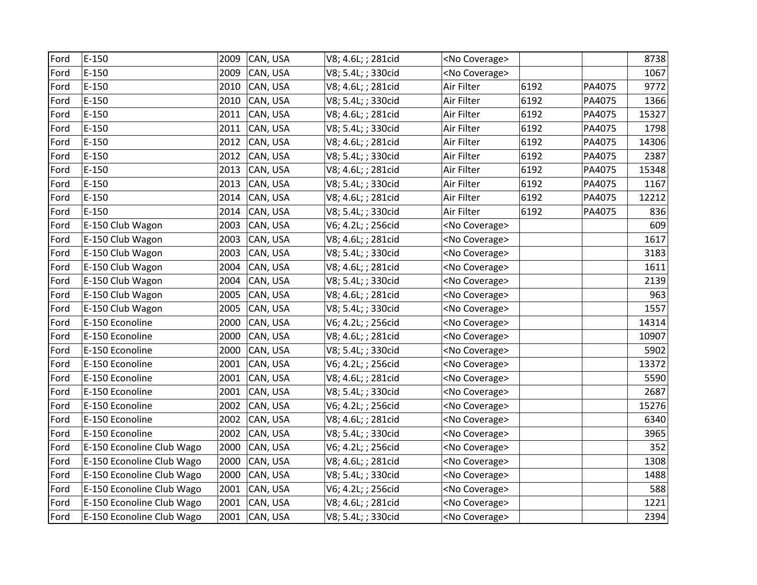| Ford | $E-150$                   | 2009 | CAN, USA | V8; 4.6L; ; 281cid | <no coverage=""></no> |      |        | 8738  |
|------|---------------------------|------|----------|--------------------|-----------------------|------|--------|-------|
| Ford | $E-150$                   | 2009 | CAN, USA | V8; 5.4L; ; 330cid | <no coverage=""></no> |      |        | 1067  |
| Ford | $E-150$                   | 2010 | CAN, USA | V8; 4.6L; ; 281cid | Air Filter            | 6192 | PA4075 | 9772  |
| Ford | $E-150$                   | 2010 | CAN, USA | V8; 5.4L; ; 330cid | Air Filter            | 6192 | PA4075 | 1366  |
| Ford | $E-150$                   | 2011 | CAN, USA | V8; 4.6L; ; 281cid | Air Filter            | 6192 | PA4075 | 15327 |
| Ford | $E-150$                   | 2011 | CAN, USA | V8; 5.4L; ; 330cid | Air Filter            | 6192 | PA4075 | 1798  |
| Ford | $E-150$                   | 2012 | CAN, USA | V8; 4.6L; ; 281cid | Air Filter            | 6192 | PA4075 | 14306 |
| Ford | $E-150$                   | 2012 | CAN, USA | V8; 5.4L; ; 330cid | Air Filter            | 6192 | PA4075 | 2387  |
| Ford | $E-150$                   | 2013 | CAN, USA | V8; 4.6L; ; 281cid | Air Filter            | 6192 | PA4075 | 15348 |
| Ford | $E-150$                   | 2013 | CAN, USA | V8; 5.4L; ; 330cid | Air Filter            | 6192 | PA4075 | 1167  |
| Ford | $E-150$                   | 2014 | CAN, USA | V8; 4.6L; ; 281cid | Air Filter            | 6192 | PA4075 | 12212 |
| Ford | $E-150$                   | 2014 | CAN, USA | V8; 5.4L; ; 330cid | Air Filter            | 6192 | PA4075 | 836   |
| Ford | E-150 Club Wagon          | 2003 | CAN, USA | V6; 4.2L; ; 256cid | <no coverage=""></no> |      |        | 609   |
| Ford | E-150 Club Wagon          | 2003 | CAN, USA | V8; 4.6L; ; 281cid | <no coverage=""></no> |      |        | 1617  |
| Ford | E-150 Club Wagon          | 2003 | CAN, USA | V8; 5.4L; ; 330cid | <no coverage=""></no> |      |        | 3183  |
| Ford | E-150 Club Wagon          | 2004 | CAN, USA | V8; 4.6L; ; 281cid | <no coverage=""></no> |      |        | 1611  |
| Ford | E-150 Club Wagon          | 2004 | CAN, USA | V8; 5.4L; ; 330cid | <no coverage=""></no> |      |        | 2139  |
| Ford | E-150 Club Wagon          | 2005 | CAN, USA | V8; 4.6L; ; 281cid | <no coverage=""></no> |      |        | 963   |
| Ford | E-150 Club Wagon          | 2005 | CAN, USA | V8; 5.4L; ; 330cid | <no coverage=""></no> |      |        | 1557  |
| Ford | E-150 Econoline           | 2000 | CAN, USA | V6; 4.2L; ; 256cid | <no coverage=""></no> |      |        | 14314 |
| Ford | E-150 Econoline           | 2000 | CAN, USA | V8; 4.6L; ; 281cid | <no coverage=""></no> |      |        | 10907 |
| Ford | E-150 Econoline           | 2000 | CAN, USA | V8; 5.4L; ; 330cid | <no coverage=""></no> |      |        | 5902  |
| Ford | E-150 Econoline           | 2001 | CAN, USA | V6; 4.2L; ; 256cid | <no coverage=""></no> |      |        | 13372 |
| Ford | E-150 Econoline           | 2001 | CAN, USA | V8; 4.6L; ; 281cid | <no coverage=""></no> |      |        | 5590  |
| Ford | E-150 Econoline           | 2001 | CAN, USA | V8; 5.4L; ; 330cid | <no coverage=""></no> |      |        | 2687  |
| Ford | E-150 Econoline           | 2002 | CAN, USA | V6; 4.2L; ; 256cid | <no coverage=""></no> |      |        | 15276 |
| Ford | E-150 Econoline           | 2002 | CAN, USA | V8; 4.6L; ; 281cid | <no coverage=""></no> |      |        | 6340  |
| Ford | E-150 Econoline           | 2002 | CAN, USA | V8; 5.4L; ; 330cid | <no coverage=""></no> |      |        | 3965  |
| Ford | E-150 Econoline Club Wago | 2000 | CAN, USA | V6; 4.2L; ; 256cid | <no coverage=""></no> |      |        | 352   |
| Ford | E-150 Econoline Club Wago | 2000 | CAN, USA | V8; 4.6L; ; 281cid | <no coverage=""></no> |      |        | 1308  |
| Ford | E-150 Econoline Club Wago | 2000 | CAN, USA | V8; 5.4L; ; 330cid | <no coverage=""></no> |      |        | 1488  |
| Ford | E-150 Econoline Club Wago | 2001 | CAN, USA | V6; 4.2L; ; 256cid | <no coverage=""></no> |      |        | 588   |
| Ford | E-150 Econoline Club Wago | 2001 | CAN, USA | V8; 4.6L; ; 281cid | <no coverage=""></no> |      |        | 1221  |
| Ford | E-150 Econoline Club Wago | 2001 | CAN, USA | V8; 5.4L; ; 330cid | <no coverage=""></no> |      |        | 2394  |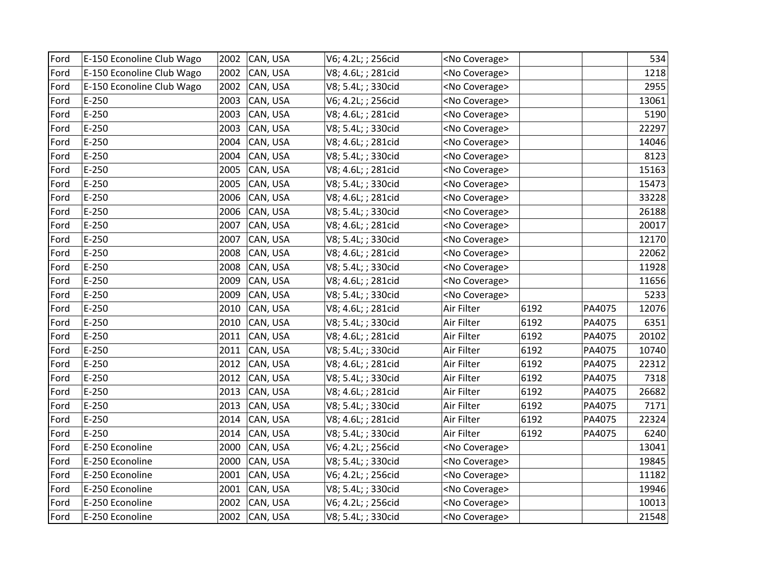| Ford | E-150 Econoline Club Wago | 2002 | CAN, USA      | V6; 4.2L; ; 256cid | <no coverage=""></no> |      |        | 534   |
|------|---------------------------|------|---------------|--------------------|-----------------------|------|--------|-------|
| Ford | E-150 Econoline Club Wago | 2002 | CAN, USA      | V8; 4.6L; ; 281cid | <no coverage=""></no> |      |        | 1218  |
| Ford | E-150 Econoline Club Wago | 2002 | CAN, USA      | V8; 5.4L; ; 330cid | <no coverage=""></no> |      |        | 2955  |
| Ford | $E-250$                   | 2003 | CAN, USA      | V6; 4.2L; ; 256cid | <no coverage=""></no> |      |        | 13061 |
| Ford | $E-250$                   | 2003 | CAN, USA      | V8; 4.6L; ; 281cid | <no coverage=""></no> |      |        | 5190  |
| Ford | $E-250$                   | 2003 | CAN, USA      | V8; 5.4L; ; 330cid | <no coverage=""></no> |      |        | 22297 |
| Ford | $E-250$                   | 2004 | CAN, USA      | V8; 4.6L; ; 281cid | <no coverage=""></no> |      |        | 14046 |
| Ford | $E-250$                   | 2004 | CAN, USA      | V8; 5.4L; ; 330cid | <no coverage=""></no> |      |        | 8123  |
| Ford | $E-250$                   | 2005 | CAN, USA      | V8; 4.6L; ; 281cid | <no coverage=""></no> |      |        | 15163 |
| Ford | $E-250$                   | 2005 | CAN, USA      | V8; 5.4L; ; 330cid | <no coverage=""></no> |      |        | 15473 |
| Ford | $E-250$                   | 2006 | CAN, USA      | V8; 4.6L; ; 281cid | <no coverage=""></no> |      |        | 33228 |
| Ford | $E-250$                   | 2006 | CAN, USA      | V8; 5.4L; ; 330cid | <no coverage=""></no> |      |        | 26188 |
| Ford | $E-250$                   | 2007 | CAN, USA      | V8; 4.6L; ; 281cid | <no coverage=""></no> |      |        | 20017 |
| Ford | $E-250$                   | 2007 | CAN, USA      | V8; 5.4L; ; 330cid | <no coverage=""></no> |      |        | 12170 |
| Ford | $E-250$                   | 2008 | CAN, USA      | V8; 4.6L; ; 281cid | <no coverage=""></no> |      |        | 22062 |
| Ford | $E-250$                   | 2008 | CAN, USA      | V8; 5.4L; ; 330cid | <no coverage=""></no> |      |        | 11928 |
| Ford | $E-250$                   | 2009 | CAN, USA      | V8; 4.6L; ; 281cid | <no coverage=""></no> |      |        | 11656 |
| Ford | $E-250$                   | 2009 | CAN, USA      | V8; 5.4L; ; 330cid | <no coverage=""></no> |      |        | 5233  |
| Ford | $E-250$                   | 2010 | CAN, USA      | V8; 4.6L; ; 281cid | Air Filter            | 6192 | PA4075 | 12076 |
| Ford | $E-250$                   | 2010 | CAN, USA      | V8; 5.4L; ; 330cid | Air Filter            | 6192 | PA4075 | 6351  |
| Ford | $E-250$                   | 2011 | CAN, USA      | V8; 4.6L; ; 281cid | Air Filter            | 6192 | PA4075 | 20102 |
| Ford | $E-250$                   | 2011 | CAN, USA      | V8; 5.4L; ; 330cid | Air Filter            | 6192 | PA4075 | 10740 |
| Ford | $E-250$                   | 2012 | CAN, USA      | V8; 4.6L; ; 281cid | Air Filter            | 6192 | PA4075 | 22312 |
| Ford | $E-250$                   | 2012 | CAN, USA      | V8; 5.4L; ; 330cid | Air Filter            | 6192 | PA4075 | 7318  |
| Ford | $E-250$                   | 2013 | CAN, USA      | V8; 4.6L; ; 281cid | Air Filter            | 6192 | PA4075 | 26682 |
| Ford | $E-250$                   | 2013 | CAN, USA      | V8; 5.4L; ; 330cid | Air Filter            | 6192 | PA4075 | 7171  |
| Ford | $E-250$                   | 2014 | CAN, USA      | V8; 4.6L; ; 281cid | Air Filter            | 6192 | PA4075 | 22324 |
| Ford | $E-250$                   | 2014 | CAN, USA      | V8; 5.4L; ; 330cid | Air Filter            | 6192 | PA4075 | 6240  |
| Ford | E-250 Econoline           | 2000 | CAN, USA      | V6; 4.2L; ; 256cid | <no coverage=""></no> |      |        | 13041 |
| Ford | E-250 Econoline           | 2000 | CAN, USA      | V8; 5.4L; ; 330cid | <no coverage=""></no> |      |        | 19845 |
| Ford | E-250 Econoline           | 2001 | CAN, USA      | V6; 4.2L; ; 256cid | <no coverage=""></no> |      |        | 11182 |
| Ford | E-250 Econoline           | 2001 | CAN, USA      | V8; 5.4L; ; 330cid | <no coverage=""></no> |      |        | 19946 |
| Ford | E-250 Econoline           | 2002 | CAN, USA      | V6; 4.2L; ; 256cid | <no coverage=""></no> |      |        | 10013 |
| Ford | E-250 Econoline           |      | 2002 CAN, USA | V8; 5.4L; ; 330cid | <no coverage=""></no> |      |        | 21548 |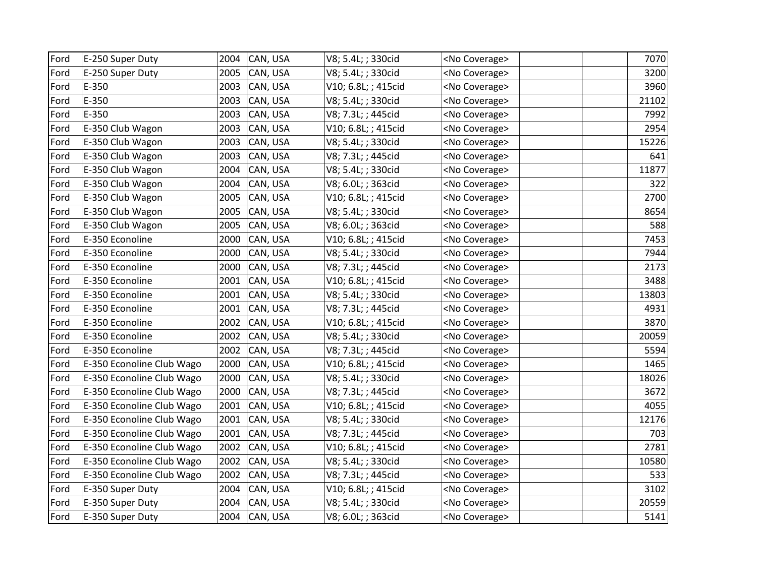| Ford | E-250 Super Duty          | 2004 | CAN, USA      | V8; 5.4L; ; 330cid  | <no coverage=""></no> | 7070  |
|------|---------------------------|------|---------------|---------------------|-----------------------|-------|
| Ford | E-250 Super Duty          | 2005 | CAN, USA      | V8; 5.4L; ; 330cid  | <no coverage=""></no> | 3200  |
| Ford | E-350                     | 2003 | CAN, USA      | V10; 6.8L; ; 415cid | <no coverage=""></no> | 3960  |
| Ford | E-350                     | 2003 | CAN, USA      | V8; 5.4L; ; 330cid  | <no coverage=""></no> | 21102 |
| Ford | E-350                     | 2003 | CAN, USA      | V8; 7.3L; ; 445cid  | <no coverage=""></no> | 7992  |
| Ford | E-350 Club Wagon          | 2003 | CAN, USA      | V10; 6.8L; ; 415cid | <no coverage=""></no> | 2954  |
| Ford | E-350 Club Wagon          | 2003 | CAN, USA      | V8; 5.4L; ; 330cid  | <no coverage=""></no> | 15226 |
| Ford | E-350 Club Wagon          | 2003 | CAN, USA      | V8; 7.3L; ; 445cid  | <no coverage=""></no> | 641   |
| Ford | E-350 Club Wagon          | 2004 | CAN, USA      | V8; 5.4L; ; 330cid  | <no coverage=""></no> | 11877 |
| Ford | E-350 Club Wagon          | 2004 | CAN, USA      | V8; 6.0L; ; 363cid  | <no coverage=""></no> | 322   |
| Ford | E-350 Club Wagon          | 2005 | CAN, USA      | V10; 6.8L; ; 415cid | <no coverage=""></no> | 2700  |
| Ford | E-350 Club Wagon          | 2005 | CAN, USA      | V8; 5.4L; ; 330cid  | <no coverage=""></no> | 8654  |
| Ford | E-350 Club Wagon          | 2005 | CAN, USA      | V8; 6.0L; ; 363cid  | <no coverage=""></no> | 588   |
| Ford | E-350 Econoline           | 2000 | CAN, USA      | V10; 6.8L; ; 415cid | <no coverage=""></no> | 7453  |
| Ford | E-350 Econoline           | 2000 | CAN, USA      | V8; 5.4L; ; 330cid  | <no coverage=""></no> | 7944  |
| Ford | E-350 Econoline           | 2000 | CAN, USA      | V8; 7.3L; ; 445cid  | <no coverage=""></no> | 2173  |
| Ford | E-350 Econoline           | 2001 | CAN, USA      | V10; 6.8L; ; 415cid | <no coverage=""></no> | 3488  |
| Ford | E-350 Econoline           | 2001 | CAN, USA      | V8; 5.4L; ; 330cid  | <no coverage=""></no> | 13803 |
| Ford | E-350 Econoline           | 2001 | CAN, USA      | V8; 7.3L; ; 445cid  | <no coverage=""></no> | 4931  |
| Ford | E-350 Econoline           | 2002 | CAN, USA      | V10; 6.8L; ; 415cid | <no coverage=""></no> | 3870  |
| Ford | E-350 Econoline           | 2002 | CAN, USA      | V8; 5.4L; ; 330cid  | <no coverage=""></no> | 20059 |
| Ford | E-350 Econoline           | 2002 | CAN, USA      | V8; 7.3L; ; 445cid  | <no coverage=""></no> | 5594  |
| Ford | E-350 Econoline Club Wago | 2000 | CAN, USA      | V10; 6.8L; ; 415cid | <no coverage=""></no> | 1465  |
| Ford | E-350 Econoline Club Wago | 2000 | CAN, USA      | V8; 5.4L; ; 330cid  | <no coverage=""></no> | 18026 |
| Ford | E-350 Econoline Club Wago | 2000 | CAN, USA      | V8; 7.3L; ; 445cid  | <no coverage=""></no> | 3672  |
| Ford | E-350 Econoline Club Wago | 2001 | CAN, USA      | V10; 6.8L; ; 415cid | <no coverage=""></no> | 4055  |
| Ford | E-350 Econoline Club Wago | 2001 | CAN, USA      | V8; 5.4L; ; 330cid  | <no coverage=""></no> | 12176 |
| Ford | E-350 Econoline Club Wago | 2001 | CAN, USA      | V8; 7.3L; ; 445cid  | <no coverage=""></no> | 703   |
| Ford | E-350 Econoline Club Wago | 2002 | CAN, USA      | V10; 6.8L; ; 415cid | <no coverage=""></no> | 2781  |
| Ford | E-350 Econoline Club Wago | 2002 | CAN, USA      | V8; 5.4L; ; 330cid  | <no coverage=""></no> | 10580 |
| Ford | E-350 Econoline Club Wago | 2002 | CAN, USA      | V8; 7.3L; ; 445cid  | <no coverage=""></no> | 533   |
| Ford | E-350 Super Duty          | 2004 | CAN, USA      | V10; 6.8L; ; 415cid | <no coverage=""></no> | 3102  |
| Ford | E-350 Super Duty          | 2004 | CAN, USA      | V8; 5.4L; ; 330cid  | <no coverage=""></no> | 20559 |
| Ford | E-350 Super Duty          |      | 2004 CAN, USA | V8; 6.0L; ; 363cid  | <no coverage=""></no> | 5141  |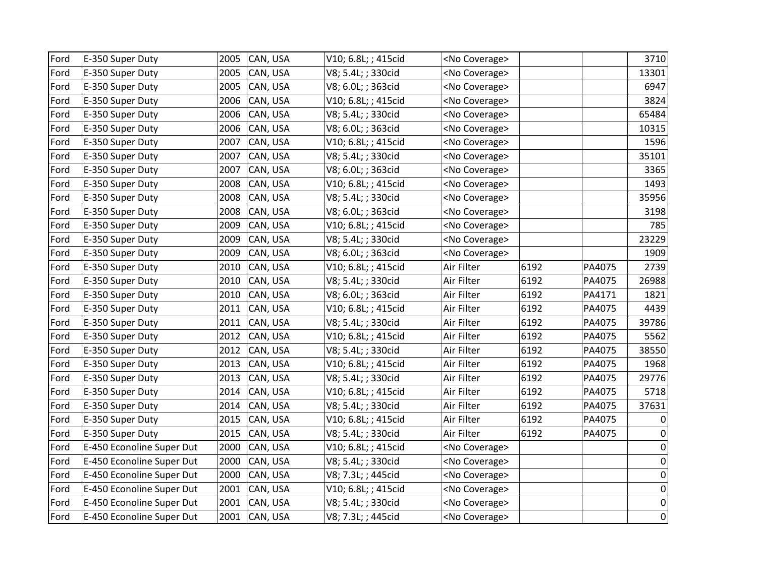| Ford | E-350 Super Duty          | 2005 | CAN, USA | V10; 6.8L; ; 415cid | <no coverage=""></no> |      |        | 3710        |
|------|---------------------------|------|----------|---------------------|-----------------------|------|--------|-------------|
| Ford | E-350 Super Duty          | 2005 | CAN, USA | V8; 5.4L; ; 330cid  | <no coverage=""></no> |      |        | 13301       |
| Ford | E-350 Super Duty          | 2005 | CAN, USA | V8; 6.0L; ; 363cid  | <no coverage=""></no> |      |        | 6947        |
| Ford | E-350 Super Duty          | 2006 | CAN, USA | V10; 6.8L; ; 415cid | <no coverage=""></no> |      |        | 3824        |
| Ford | E-350 Super Duty          | 2006 | CAN, USA | V8; 5.4L; ; 330cid  | <no coverage=""></no> |      |        | 65484       |
| Ford | E-350 Super Duty          | 2006 | CAN, USA | V8; 6.0L; ; 363cid  | <no coverage=""></no> |      |        | 10315       |
| Ford | E-350 Super Duty          | 2007 | CAN, USA | V10; 6.8L; ; 415cid | <no coverage=""></no> |      |        | 1596        |
| Ford | E-350 Super Duty          | 2007 | CAN, USA | V8; 5.4L; ; 330cid  | <no coverage=""></no> |      |        | 35101       |
| Ford | E-350 Super Duty          | 2007 | CAN, USA | V8; 6.0L; ; 363cid  | <no coverage=""></no> |      |        | 3365        |
| Ford | E-350 Super Duty          | 2008 | CAN, USA | V10; 6.8L; ; 415cid | <no coverage=""></no> |      |        | 1493        |
| Ford | E-350 Super Duty          | 2008 | CAN, USA | V8; 5.4L; ; 330cid  | <no coverage=""></no> |      |        | 35956       |
| Ford | E-350 Super Duty          | 2008 | CAN, USA | V8; 6.0L; ; 363cid  | <no coverage=""></no> |      |        | 3198        |
| Ford | E-350 Super Duty          | 2009 | CAN, USA | V10; 6.8L; ; 415cid | <no coverage=""></no> |      |        | 785         |
| Ford | E-350 Super Duty          | 2009 | CAN, USA | V8; 5.4L; ; 330cid  | <no coverage=""></no> |      |        | 23229       |
| Ford | E-350 Super Duty          | 2009 | CAN, USA | V8; 6.0L; ; 363cid  | <no coverage=""></no> |      |        | 1909        |
| Ford | E-350 Super Duty          | 2010 | CAN, USA | V10; 6.8L; ; 415cid | Air Filter            | 6192 | PA4075 | 2739        |
| Ford | E-350 Super Duty          | 2010 | CAN, USA | V8; 5.4L; ; 330cid  | Air Filter            | 6192 | PA4075 | 26988       |
| Ford | E-350 Super Duty          | 2010 | CAN, USA | V8; 6.0L; ; 363cid  | Air Filter            | 6192 | PA4171 | 1821        |
| Ford | E-350 Super Duty          | 2011 | CAN, USA | V10; 6.8L; ; 415cid | Air Filter            | 6192 | PA4075 | 4439        |
| Ford | E-350 Super Duty          | 2011 | CAN, USA | V8; 5.4L; ; 330cid  | Air Filter            | 6192 | PA4075 | 39786       |
| Ford | E-350 Super Duty          | 2012 | CAN, USA | V10; 6.8L; ; 415cid | Air Filter            | 6192 | PA4075 | 5562        |
| Ford | E-350 Super Duty          | 2012 | CAN, USA | V8; 5.4L; ; 330cid  | Air Filter            | 6192 | PA4075 | 38550       |
| Ford | E-350 Super Duty          | 2013 | CAN, USA | V10; 6.8L; ; 415cid | Air Filter            | 6192 | PA4075 | 1968        |
| Ford | E-350 Super Duty          | 2013 | CAN, USA | V8; 5.4L; ; 330cid  | Air Filter            | 6192 | PA4075 | 29776       |
| Ford | E-350 Super Duty          | 2014 | CAN, USA | V10; 6.8L; ; 415cid | Air Filter            | 6192 | PA4075 | 5718        |
| Ford | E-350 Super Duty          | 2014 | CAN, USA | V8; 5.4L; ; 330cid  | Air Filter            | 6192 | PA4075 | 37631       |
| Ford | E-350 Super Duty          | 2015 | CAN, USA | V10; 6.8L; ; 415cid | Air Filter            | 6192 | PA4075 | 0           |
| Ford | E-350 Super Duty          | 2015 | CAN, USA | V8; 5.4L; ; 330cid  | Air Filter            | 6192 | PA4075 | 0           |
| Ford | E-450 Econoline Super Dut | 2000 | CAN, USA | V10; 6.8L; ; 415cid | <no coverage=""></no> |      |        | $\pmb{0}$   |
| Ford | E-450 Econoline Super Dut | 2000 | CAN, USA | V8; 5.4L; ; 330cid  | <no coverage=""></no> |      |        | $\pmb{0}$   |
| Ford | E-450 Econoline Super Dut | 2000 | CAN, USA | V8; 7.3L; ; 445cid  | <no coverage=""></no> |      |        | $\pmb{0}$   |
| Ford | E-450 Econoline Super Dut | 2001 | CAN, USA | V10; 6.8L; ; 415cid | <no coverage=""></no> |      |        | $\mathbf 0$ |
| Ford | E-450 Econoline Super Dut | 2001 | CAN, USA | V8; 5.4L; ; 330cid  | <no coverage=""></no> |      |        | $\mathbf 0$ |
| Ford | E-450 Econoline Super Dut | 2001 | CAN, USA | V8; 7.3L; ; 445cid  | <no coverage=""></no> |      |        | $\pmb{0}$   |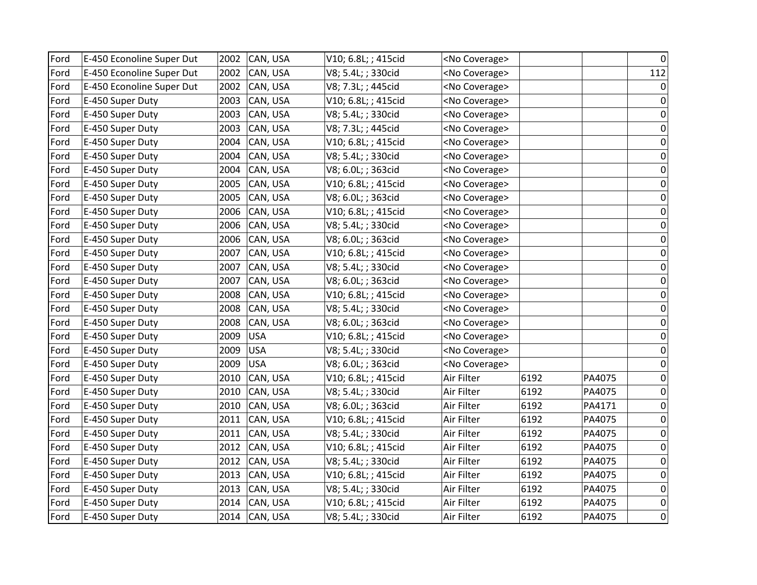| Ford | E-450 Econoline Super Dut | 2002 | CAN, USA      | V10; 6.8L; ; 415cid | <no coverage=""></no> |      |        | 0           |
|------|---------------------------|------|---------------|---------------------|-----------------------|------|--------|-------------|
| Ford | E-450 Econoline Super Dut | 2002 | CAN, USA      | V8; 5.4L; ; 330cid  | <no coverage=""></no> |      |        | 112         |
| Ford | E-450 Econoline Super Dut | 2002 | CAN, USA      | V8; 7.3L; ; 445cid  | <no coverage=""></no> |      |        | $\mathbf 0$ |
| Ford | E-450 Super Duty          | 2003 | CAN, USA      | V10; 6.8L; ; 415cid | <no coverage=""></no> |      |        | $\mathbf 0$ |
| Ford | E-450 Super Duty          | 2003 | CAN, USA      | V8; 5.4L; ; 330cid  | <no coverage=""></no> |      |        | 0           |
| Ford | E-450 Super Duty          | 2003 | CAN, USA      | V8; 7.3L; ; 445cid  | <no coverage=""></no> |      |        | 0           |
| Ford | E-450 Super Duty          | 2004 | CAN, USA      | V10; 6.8L; ; 415cid | <no coverage=""></no> |      |        | $\Omega$    |
| Ford | E-450 Super Duty          | 2004 | CAN, USA      | V8; 5.4L; ; 330cid  | <no coverage=""></no> |      |        | $\Omega$    |
| Ford | E-450 Super Duty          | 2004 | CAN, USA      | V8; 6.0L; ; 363cid  | <no coverage=""></no> |      |        | 0           |
| Ford | E-450 Super Duty          | 2005 | CAN, USA      | V10; 6.8L; ; 415cid | <no coverage=""></no> |      |        | $\mathbf 0$ |
| Ford | E-450 Super Duty          | 2005 | CAN, USA      | V8; 6.0L; ; 363cid  | <no coverage=""></no> |      |        | 0           |
| Ford | E-450 Super Duty          | 2006 | CAN, USA      | V10; 6.8L; ; 415cid | <no coverage=""></no> |      |        | 0           |
| Ford | E-450 Super Duty          | 2006 | CAN, USA      | V8; 5.4L; ; 330cid  | <no coverage=""></no> |      |        | 0           |
| Ford | E-450 Super Duty          | 2006 | CAN, USA      | V8; 6.0L; ; 363cid  | <no coverage=""></no> |      |        | 0           |
| Ford | E-450 Super Duty          | 2007 | CAN, USA      | V10; 6.8L; ; 415cid | <no coverage=""></no> |      |        | 0           |
| Ford | E-450 Super Duty          | 2007 | CAN, USA      | V8; 5.4L; ; 330cid  | <no coverage=""></no> |      |        | 0           |
| Ford | E-450 Super Duty          | 2007 | CAN, USA      | V8; 6.0L; ; 363cid  | <no coverage=""></no> |      |        | 0           |
| Ford | E-450 Super Duty          | 2008 | CAN, USA      | V10; 6.8L; ; 415cid | <no coverage=""></no> |      |        | $\Omega$    |
| Ford | E-450 Super Duty          | 2008 | CAN, USA      | V8; 5.4L; ; 330cid  | <no coverage=""></no> |      |        | 0           |
| Ford | E-450 Super Duty          | 2008 | CAN, USA      | V8; 6.0L; ; 363cid  | <no coverage=""></no> |      |        | 0           |
| Ford | E-450 Super Duty          | 2009 | <b>USA</b>    | V10; 6.8L; ; 415cid | <no coverage=""></no> |      |        | $\mathbf 0$ |
| Ford | E-450 Super Duty          | 2009 | <b>USA</b>    | V8; 5.4L; ; 330cid  | <no coverage=""></no> |      |        | $\mathbf 0$ |
| Ford | E-450 Super Duty          | 2009 | <b>USA</b>    | V8; 6.0L; ; 363cid  | <no coverage=""></no> |      |        | 0           |
| Ford | E-450 Super Duty          | 2010 | CAN, USA      | V10; 6.8L; ; 415cid | Air Filter            | 6192 | PA4075 | 0           |
| Ford | E-450 Super Duty          | 2010 | CAN, USA      | V8; 5.4L; ; 330cid  | Air Filter            | 6192 | PA4075 | $\mathbf 0$ |
| Ford | E-450 Super Duty          | 2010 | CAN, USA      | V8; 6.0L; ; 363cid  | Air Filter            | 6192 | PA4171 | $\mathbf 0$ |
| Ford | E-450 Super Duty          | 2011 | CAN, USA      | V10; 6.8L; ; 415cid | Air Filter            | 6192 | PA4075 | $\mathbf 0$ |
| Ford | E-450 Super Duty          | 2011 | CAN, USA      | V8; 5.4L; ; 330cid  | Air Filter            | 6192 | PA4075 | 0           |
| Ford | E-450 Super Duty          | 2012 | CAN, USA      | V10; 6.8L; ; 415cid | Air Filter            | 6192 | PA4075 | $\mathbf 0$ |
| Ford | E-450 Super Duty          | 2012 | CAN, USA      | V8; 5.4L; ; 330cid  | Air Filter            | 6192 | PA4075 | $\mathbf 0$ |
| Ford | E-450 Super Duty          | 2013 | CAN, USA      | V10; 6.8L; ; 415cid | Air Filter            | 6192 | PA4075 | 0           |
| Ford | E-450 Super Duty          | 2013 | CAN, USA      | V8; 5.4L; ; 330cid  | Air Filter            | 6192 | PA4075 | 0           |
| Ford | E-450 Super Duty          | 2014 | CAN, USA      | V10; 6.8L; ; 415cid | Air Filter            | 6192 | PA4075 | $\mathbf 0$ |
| Ford | E-450 Super Duty          |      | 2014 CAN, USA | V8; 5.4L; ; 330cid  | Air Filter            | 6192 | PA4075 | $\pmb{0}$   |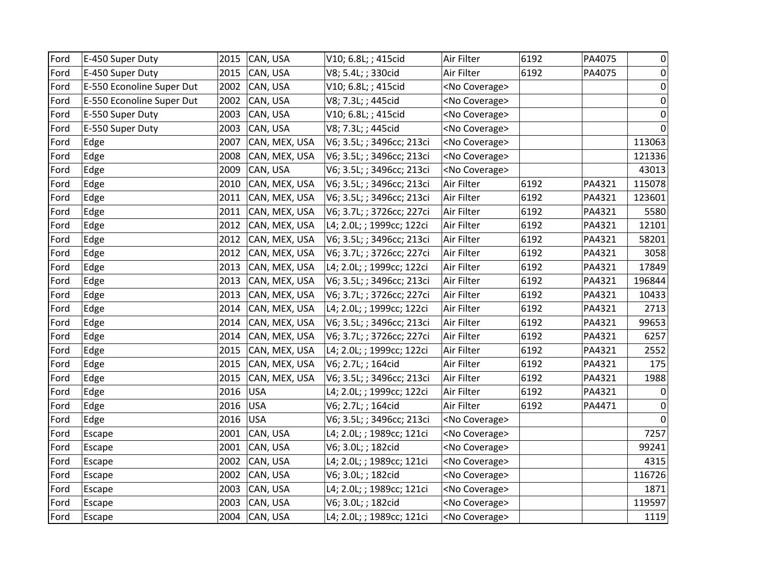| Ford | E-450 Super Duty          | 2015 | CAN, USA      | V10; 6.8L; ; 415cid       | Air Filter            | 6192 | PA4075 | 0           |
|------|---------------------------|------|---------------|---------------------------|-----------------------|------|--------|-------------|
| Ford | E-450 Super Duty          | 2015 | CAN, USA      | V8; 5.4L; ; 330cid        | Air Filter            | 6192 | PA4075 | $\mathbf 0$ |
| Ford | E-550 Econoline Super Dut | 2002 | CAN, USA      | V10; 6.8L; ; 415cid       | <no coverage=""></no> |      |        | $\pmb{0}$   |
| Ford | E-550 Econoline Super Dut | 2002 | CAN, USA      | V8; 7.3L; ; 445cid        | <no coverage=""></no> |      |        | 0           |
| Ford | E-550 Super Duty          | 2003 | CAN, USA      | V10; 6.8L; ; 415cid       | <no coverage=""></no> |      |        | $\mathbf 0$ |
| Ford | E-550 Super Duty          | 2003 | CAN, USA      | V8; 7.3L; ; 445cid        | <no coverage=""></no> |      |        | $\mathbf 0$ |
| Ford | Edge                      | 2007 | CAN, MEX, USA | V6; 3.5L; ; 3496cc; 213ci | <no coverage=""></no> |      |        | 113063      |
| Ford | Edge                      | 2008 | CAN, MEX, USA | V6; 3.5L; ; 3496cc; 213ci | <no coverage=""></no> |      |        | 121336      |
| Ford | Edge                      | 2009 | CAN, USA      | V6; 3.5L; ; 3496cc; 213ci | <no coverage=""></no> |      |        | 43013       |
| Ford | Edge                      | 2010 | CAN, MEX, USA | V6; 3.5L; ; 3496cc; 213ci | Air Filter            | 6192 | PA4321 | 115078      |
| Ford | Edge                      | 2011 | CAN, MEX, USA | V6; 3.5L; ; 3496cc; 213ci | Air Filter            | 6192 | PA4321 | 123601      |
| Ford | Edge                      | 2011 | CAN, MEX, USA | V6; 3.7L; ; 3726cc; 227ci | Air Filter            | 6192 | PA4321 | 5580        |
| Ford | Edge                      | 2012 | CAN, MEX, USA | L4; 2.0L; ; 1999cc; 122ci | Air Filter            | 6192 | PA4321 | 12101       |
| Ford | Edge                      | 2012 | CAN, MEX, USA | V6; 3.5L; ; 3496cc; 213ci | Air Filter            | 6192 | PA4321 | 58201       |
| Ford | Edge                      | 2012 | CAN, MEX, USA | V6; 3.7L; ; 3726cc; 227ci | Air Filter            | 6192 | PA4321 | 3058        |
| Ford | Edge                      | 2013 | CAN, MEX, USA | L4; 2.0L; ; 1999cc; 122ci | Air Filter            | 6192 | PA4321 | 17849       |
| Ford | Edge                      | 2013 | CAN, MEX, USA | V6; 3.5L; ; 3496cc; 213ci | Air Filter            | 6192 | PA4321 | 196844      |
| Ford | Edge                      | 2013 | CAN, MEX, USA | V6; 3.7L; ; 3726cc; 227ci | Air Filter            | 6192 | PA4321 | 10433       |
| Ford | Edge                      | 2014 | CAN, MEX, USA | L4; 2.0L; ; 1999cc; 122ci | Air Filter            | 6192 | PA4321 | 2713        |
| Ford | Edge                      | 2014 | CAN, MEX, USA | V6; 3.5L; ; 3496cc; 213ci | Air Filter            | 6192 | PA4321 | 99653       |
| Ford | Edge                      | 2014 | CAN, MEX, USA | V6; 3.7L; ; 3726cc; 227ci | Air Filter            | 6192 | PA4321 | 6257        |
| Ford | Edge                      | 2015 | CAN, MEX, USA | L4; 2.0L; ; 1999cc; 122ci | Air Filter            | 6192 | PA4321 | 2552        |
| Ford | Edge                      | 2015 | CAN, MEX, USA | V6; 2.7L; ; 164cid        | Air Filter            | 6192 | PA4321 | 175         |
| Ford | Edge                      | 2015 | CAN, MEX, USA | V6; 3.5L; ; 3496cc; 213ci | Air Filter            | 6192 | PA4321 | 1988        |
| Ford | Edge                      | 2016 | <b>USA</b>    | L4; 2.0L; ; 1999cc; 122ci | Air Filter            | 6192 | PA4321 | $\mathbf 0$ |
| Ford | Edge                      | 2016 | <b>USA</b>    | V6; 2.7L; ; 164cid        | Air Filter            | 6192 | PA4471 | $\mathbf 0$ |
| Ford | Edge                      | 2016 | <b>USA</b>    | V6; 3.5L; ; 3496cc; 213ci | <no coverage=""></no> |      |        | $\mathbf 0$ |
| Ford | Escape                    | 2001 | CAN, USA      | L4; 2.0L; ; 1989cc; 121ci | <no coverage=""></no> |      |        | 7257        |
| Ford | Escape                    | 2001 | CAN, USA      | V6; 3.0L; ; 182cid        | <no coverage=""></no> |      |        | 99241       |
| Ford | Escape                    | 2002 | CAN, USA      | L4; 2.0L; ; 1989cc; 121ci | <no coverage=""></no> |      |        | 4315        |
| Ford | Escape                    | 2002 | CAN, USA      | V6; 3.0L; ; 182cid        | <no coverage=""></no> |      |        | 116726      |
| Ford | Escape                    | 2003 | CAN, USA      | L4; 2.0L; ; 1989cc; 121ci | <no coverage=""></no> |      |        | 1871        |
| Ford | Escape                    | 2003 | CAN, USA      | V6; 3.0L; ; 182cid        | <no coverage=""></no> |      |        | 119597      |
| Ford | Escape                    | 2004 | CAN, USA      | L4; 2.0L; ; 1989cc; 121ci | <no coverage=""></no> |      |        | 1119        |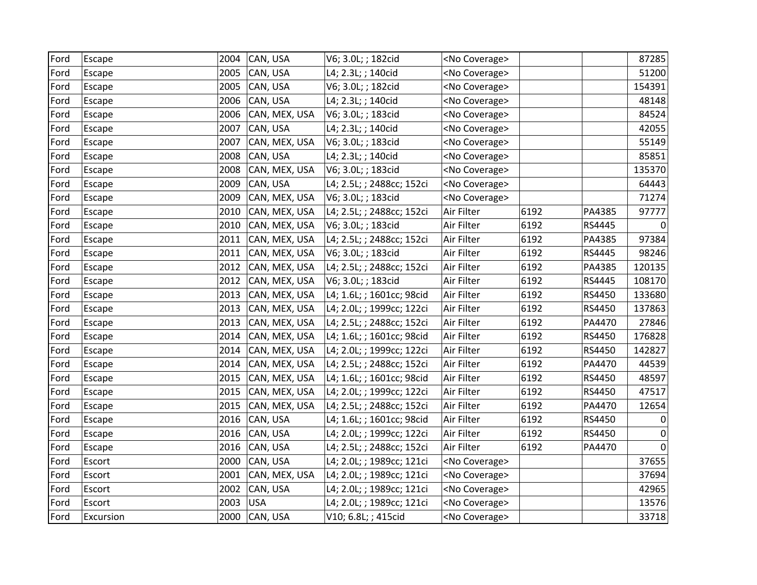| Ford | Escape    | 2004 | CAN, USA      | V6; 3.0L; ; 182cid        | <no coverage=""></no> |      |        | 87285    |
|------|-----------|------|---------------|---------------------------|-----------------------|------|--------|----------|
| Ford | Escape    | 2005 | CAN, USA      | L4; 2.3L; ; 140cid        | <no coverage=""></no> |      |        | 51200    |
| Ford | Escape    | 2005 | CAN, USA      | V6; 3.0L; ; 182cid        | <no coverage=""></no> |      |        | 154391   |
| Ford | Escape    | 2006 | CAN, USA      | L4; 2.3L; ; 140cid        | <no coverage=""></no> |      |        | 48148    |
| Ford | Escape    | 2006 | CAN, MEX, USA | V6; 3.0L; ; 183cid        | <no coverage=""></no> |      |        | 84524    |
| Ford | Escape    | 2007 | CAN, USA      | L4; 2.3L; ; 140cid        | <no coverage=""></no> |      |        | 42055    |
| Ford | Escape    | 2007 | CAN, MEX, USA | V6; 3.0L; ; 183cid        | <no coverage=""></no> |      |        | 55149    |
| Ford | Escape    | 2008 | CAN, USA      | L4; 2.3L; ; 140cid        | <no coverage=""></no> |      |        | 85851    |
| Ford | Escape    | 2008 | CAN, MEX, USA | V6; 3.0L; ; 183cid        | <no coverage=""></no> |      |        | 135370   |
| Ford | Escape    | 2009 | CAN, USA      | L4; 2.5L; ; 2488cc; 152ci | <no coverage=""></no> |      |        | 64443    |
| Ford | Escape    | 2009 | CAN, MEX, USA | V6; 3.0L; ; 183cid        | <no coverage=""></no> |      |        | 71274    |
| Ford | Escape    | 2010 | CAN, MEX, USA | L4; 2.5L; ; 2488cc; 152ci | Air Filter            | 6192 | PA4385 | 97777    |
| Ford | Escape    | 2010 | CAN, MEX, USA | V6; 3.0L; ; 183cid        | Air Filter            | 6192 | RS4445 | 0        |
| Ford | Escape    | 2011 | CAN, MEX, USA | L4; 2.5L; ; 2488cc; 152ci | Air Filter            | 6192 | PA4385 | 97384    |
| Ford | Escape    | 2011 | CAN, MEX, USA | V6; 3.0L; ; 183cid        | Air Filter            | 6192 | RS4445 | 98246    |
| Ford | Escape    | 2012 | CAN, MEX, USA | L4; 2.5L; ; 2488cc; 152ci | Air Filter            | 6192 | PA4385 | 120135   |
| Ford | Escape    | 2012 | CAN, MEX, USA | V6; 3.0L; ; 183cid        | Air Filter            | 6192 | RS4445 | 108170   |
| Ford | Escape    | 2013 | CAN, MEX, USA | L4; 1.6L; ; 1601cc; 98cid | Air Filter            | 6192 | RS4450 | 133680   |
| Ford | Escape    | 2013 | CAN, MEX, USA | L4; 2.0L; ; 1999cc; 122ci | Air Filter            | 6192 | RS4450 | 137863   |
| Ford | Escape    | 2013 | CAN, MEX, USA | L4; 2.5L; ; 2488cc; 152ci | Air Filter            | 6192 | PA4470 | 27846    |
| Ford | Escape    | 2014 | CAN, MEX, USA | L4; 1.6L; ; 1601cc; 98cid | Air Filter            | 6192 | RS4450 | 176828   |
| Ford | Escape    | 2014 | CAN, MEX, USA | L4; 2.0L; ; 1999cc; 122ci | Air Filter            | 6192 | RS4450 | 142827   |
| Ford | Escape    | 2014 | CAN, MEX, USA | L4; 2.5L; ; 2488cc; 152ci | Air Filter            | 6192 | PA4470 | 44539    |
| Ford | Escape    | 2015 | CAN, MEX, USA | L4; 1.6L; ; 1601cc; 98cid | Air Filter            | 6192 | RS4450 | 48597    |
| Ford | Escape    | 2015 | CAN, MEX, USA | L4; 2.0L; ; 1999cc; 122ci | Air Filter            | 6192 | RS4450 | 47517    |
| Ford | Escape    | 2015 | CAN, MEX, USA | L4; 2.5L; ; 2488cc; 152ci | Air Filter            | 6192 | PA4470 | 12654    |
| Ford | Escape    | 2016 | CAN, USA      | L4; 1.6L; ; 1601cc; 98cid | Air Filter            | 6192 | RS4450 | 0        |
| Ford | Escape    | 2016 | CAN, USA      | L4; 2.0L; ; 1999cc; 122ci | Air Filter            | 6192 | RS4450 | 0        |
| Ford | Escape    | 2016 | CAN, USA      | L4; 2.5L; ; 2488cc; 152ci | Air Filter            | 6192 | PA4470 | $\Omega$ |
| Ford | Escort    | 2000 | CAN, USA      | L4; 2.0L; ; 1989cc; 121ci | <no coverage=""></no> |      |        | 37655    |
| Ford | Escort    | 2001 | CAN, MEX, USA | L4; 2.0L; ; 1989cc; 121ci | <no coverage=""></no> |      |        | 37694    |
| Ford | Escort    | 2002 | CAN, USA      | L4; 2.0L; ; 1989cc; 121ci | <no coverage=""></no> |      |        | 42965    |
| Ford | Escort    | 2003 | <b>USA</b>    | L4; 2.0L; ; 1989cc; 121ci | <no coverage=""></no> |      |        | 13576    |
| Ford | Excursion |      | 2000 CAN, USA | V10; 6.8L; ; 415cid       | <no coverage=""></no> |      |        | 33718    |
|      |           |      |               |                           |                       |      |        |          |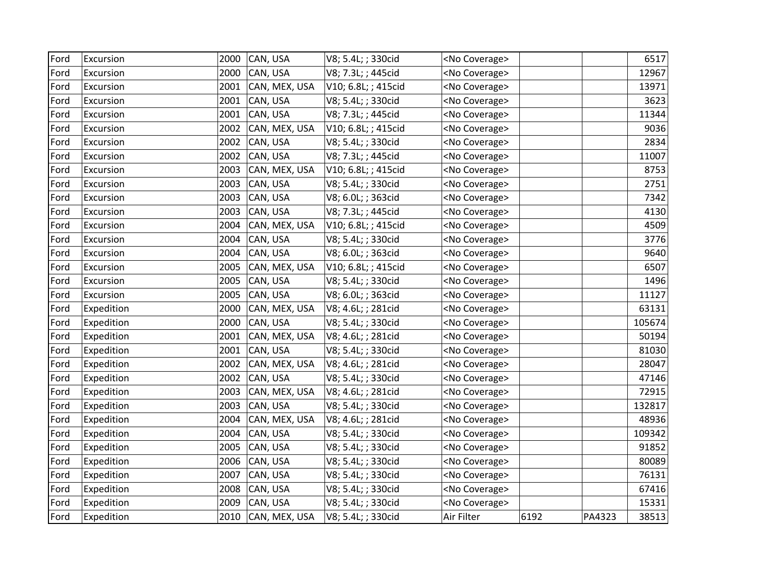| Ford | Excursion  | 2000 | CAN, USA      | V8; 5.4L; ; 330cid  | <no coverage=""></no> |      |        | 6517   |
|------|------------|------|---------------|---------------------|-----------------------|------|--------|--------|
| Ford | Excursion  | 2000 | CAN, USA      | V8; 7.3L; ; 445cid  | <no coverage=""></no> |      |        | 12967  |
| Ford | Excursion  | 2001 | CAN, MEX, USA | V10; 6.8L; ; 415cid | <no coverage=""></no> |      |        | 13971  |
| Ford | Excursion  | 2001 | CAN, USA      | V8; 5.4L; ; 330cid  | <no coverage=""></no> |      |        | 3623   |
| Ford | Excursion  | 2001 | CAN, USA      | V8; 7.3L; ; 445cid  | <no coverage=""></no> |      |        | 11344  |
| Ford | Excursion  | 2002 | CAN, MEX, USA | V10; 6.8L; ; 415cid | <no coverage=""></no> |      |        | 9036   |
| Ford | Excursion  | 2002 | CAN, USA      | V8; 5.4L; ; 330cid  | <no coverage=""></no> |      |        | 2834   |
| Ford | Excursion  | 2002 | CAN, USA      | V8; 7.3L; ; 445cid  | <no coverage=""></no> |      |        | 11007  |
| Ford | Excursion  | 2003 | CAN, MEX, USA | V10; 6.8L; ; 415cid | <no coverage=""></no> |      |        | 8753   |
| Ford | Excursion  | 2003 | CAN, USA      | V8; 5.4L; ; 330cid  | <no coverage=""></no> |      |        | 2751   |
| Ford | Excursion  | 2003 | CAN, USA      | V8; 6.0L; ; 363cid  | <no coverage=""></no> |      |        | 7342   |
| Ford | Excursion  | 2003 | CAN, USA      | V8; 7.3L; ; 445cid  | <no coverage=""></no> |      |        | 4130   |
| Ford | Excursion  | 2004 | CAN, MEX, USA | V10; 6.8L; ; 415cid | <no coverage=""></no> |      |        | 4509   |
| Ford | Excursion  | 2004 | CAN, USA      | V8; 5.4L; ; 330cid  | <no coverage=""></no> |      |        | 3776   |
| Ford | Excursion  | 2004 | CAN, USA      | V8; 6.0L; ; 363cid  | <no coverage=""></no> |      |        | 9640   |
| Ford | Excursion  | 2005 | CAN, MEX, USA | V10; 6.8L; ; 415cid | <no coverage=""></no> |      |        | 6507   |
| Ford | Excursion  | 2005 | CAN, USA      | V8; 5.4L; ; 330cid  | <no coverage=""></no> |      |        | 1496   |
| Ford | Excursion  | 2005 | CAN, USA      | V8; 6.0L; ; 363cid  | <no coverage=""></no> |      |        | 11127  |
| Ford | Expedition | 2000 | CAN, MEX, USA | V8; 4.6L; ; 281cid  | <no coverage=""></no> |      |        | 63131  |
| Ford | Expedition | 2000 | CAN, USA      | V8; 5.4L; ; 330cid  | <no coverage=""></no> |      |        | 105674 |
| Ford | Expedition | 2001 | CAN, MEX, USA | V8; 4.6L; ; 281cid  | <no coverage=""></no> |      |        | 50194  |
| Ford | Expedition | 2001 | CAN, USA      | V8; 5.4L; ; 330cid  | <no coverage=""></no> |      |        | 81030  |
| Ford | Expedition | 2002 | CAN, MEX, USA | V8; 4.6L; ; 281cid  | <no coverage=""></no> |      |        | 28047  |
| Ford | Expedition | 2002 | CAN, USA      | V8; 5.4L; ; 330cid  | <no coverage=""></no> |      |        | 47146  |
| Ford | Expedition | 2003 | CAN, MEX, USA | V8; 4.6L; ; 281cid  | <no coverage=""></no> |      |        | 72915  |
| Ford | Expedition | 2003 | CAN, USA      | V8; 5.4L; ; 330cid  | <no coverage=""></no> |      |        | 132817 |
| Ford | Expedition | 2004 | CAN, MEX, USA | V8; 4.6L; ; 281cid  | <no coverage=""></no> |      |        | 48936  |
| Ford | Expedition | 2004 | CAN, USA      | V8; 5.4L; ; 330cid  | <no coverage=""></no> |      |        | 109342 |
| Ford | Expedition | 2005 | CAN, USA      | V8; 5.4L; ; 330cid  | <no coverage=""></no> |      |        | 91852  |
| Ford | Expedition | 2006 | CAN, USA      | V8; 5.4L; ; 330cid  | <no coverage=""></no> |      |        | 80089  |
| Ford | Expedition | 2007 | CAN, USA      | V8; 5.4L; ; 330cid  | <no coverage=""></no> |      |        | 76131  |
| Ford | Expedition | 2008 | CAN, USA      | V8; 5.4L; ; 330cid  | <no coverage=""></no> |      |        | 67416  |
| Ford | Expedition | 2009 | CAN, USA      | V8; 5.4L; ; 330cid  | <no coverage=""></no> |      |        | 15331  |
| Ford | Expedition | 2010 | CAN, MEX, USA | V8; 5.4L; ; 330cid  | Air Filter            | 6192 | PA4323 | 38513  |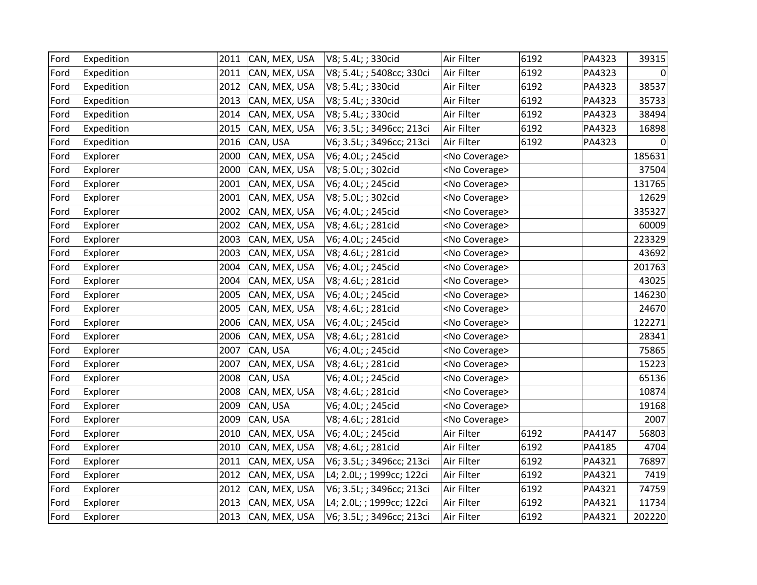| Ford | Expedition | 2011 | CAN, MEX, USA | V8; 5.4L; ; 330cid        | Air Filter            | 6192 | PA4323 | 39315  |
|------|------------|------|---------------|---------------------------|-----------------------|------|--------|--------|
| Ford | Expedition | 2011 | CAN, MEX, USA | V8; 5.4L; ; 5408cc; 330ci | Air Filter            | 6192 | PA4323 | 0      |
| Ford | Expedition | 2012 | CAN, MEX, USA | V8; 5.4L; ; 330cid        | Air Filter            | 6192 | PA4323 | 38537  |
| Ford | Expedition | 2013 | CAN, MEX, USA | V8; 5.4L; ; 330cid        | Air Filter            | 6192 | PA4323 | 35733  |
| Ford | Expedition | 2014 | CAN, MEX, USA | V8; 5.4L; ; 330cid        | Air Filter            | 6192 | PA4323 | 38494  |
| Ford | Expedition | 2015 | CAN, MEX, USA | V6; 3.5L; ; 3496cc; 213ci | Air Filter            | 6192 | PA4323 | 16898  |
| Ford | Expedition | 2016 | CAN, USA      | V6; 3.5L; ; 3496cc; 213ci | Air Filter            | 6192 | PA4323 |        |
| Ford | Explorer   | 2000 | CAN, MEX, USA | V6; 4.0L; ; 245cid        | <no coverage=""></no> |      |        | 185631 |
| Ford | Explorer   | 2000 | CAN, MEX, USA | V8; 5.0L; ; 302cid        | <no coverage=""></no> |      |        | 37504  |
| Ford | Explorer   | 2001 | CAN, MEX, USA | V6; 4.0L; ; 245cid        | <no coverage=""></no> |      |        | 131765 |
| Ford | Explorer   | 2001 | CAN, MEX, USA | V8; 5.0L; ; 302cid        | <no coverage=""></no> |      |        | 12629  |
| Ford | Explorer   | 2002 | CAN, MEX, USA | V6; 4.0L; ; 245cid        | <no coverage=""></no> |      |        | 335327 |
| Ford | Explorer   | 2002 | CAN, MEX, USA | V8; 4.6L; ; 281cid        | <no coverage=""></no> |      |        | 60009  |
| Ford | Explorer   | 2003 | CAN, MEX, USA | V6; 4.0L; ; 245cid        | <no coverage=""></no> |      |        | 223329 |
| Ford | Explorer   | 2003 | CAN, MEX, USA | V8; 4.6L; ; 281cid        | <no coverage=""></no> |      |        | 43692  |
| Ford | Explorer   | 2004 | CAN, MEX, USA | V6; 4.0L; ; 245cid        | <no coverage=""></no> |      |        | 201763 |
| Ford | Explorer   | 2004 | CAN, MEX, USA | V8; 4.6L; ; 281cid        | <no coverage=""></no> |      |        | 43025  |
| Ford | Explorer   | 2005 | CAN, MEX, USA | V6; 4.0L; ; 245cid        | <no coverage=""></no> |      |        | 146230 |
| Ford | Explorer   | 2005 | CAN, MEX, USA | V8; 4.6L; ; 281cid        | <no coverage=""></no> |      |        | 24670  |
| Ford | Explorer   | 2006 | CAN, MEX, USA | V6; 4.0L; ; 245cid        | <no coverage=""></no> |      |        | 122271 |
| Ford | Explorer   | 2006 | CAN, MEX, USA | V8; 4.6L; ; 281cid        | <no coverage=""></no> |      |        | 28341  |
| Ford | Explorer   | 2007 | CAN, USA      | V6; 4.0L; ; 245cid        | <no coverage=""></no> |      |        | 75865  |
| Ford | Explorer   | 2007 | CAN, MEX, USA | V8; 4.6L; ; 281cid        | <no coverage=""></no> |      |        | 15223  |
| Ford | Explorer   | 2008 | CAN, USA      | V6; 4.0L; ; 245cid        | <no coverage=""></no> |      |        | 65136  |
| Ford | Explorer   | 2008 | CAN, MEX, USA | V8; 4.6L; ; 281cid        | <no coverage=""></no> |      |        | 10874  |
| Ford | Explorer   | 2009 | CAN, USA      | V6; 4.0L; ; 245cid        | <no coverage=""></no> |      |        | 19168  |
| Ford | Explorer   | 2009 | CAN, USA      | V8; 4.6L; ; 281cid        | <no coverage=""></no> |      |        | 2007   |
| Ford | Explorer   | 2010 | CAN, MEX, USA | V6; 4.0L; ; 245cid        | Air Filter            | 6192 | PA4147 | 56803  |
| Ford | Explorer   | 2010 | CAN, MEX, USA | V8; 4.6L; ; 281cid        | Air Filter            | 6192 | PA4185 | 4704   |
| Ford | Explorer   | 2011 | CAN, MEX, USA | V6; 3.5L; ; 3496cc; 213ci | Air Filter            | 6192 | PA4321 | 76897  |
| Ford | Explorer   | 2012 | CAN, MEX, USA | L4; 2.0L; ; 1999cc; 122ci | Air Filter            | 6192 | PA4321 | 7419   |
| Ford | Explorer   | 2012 | CAN, MEX, USA | V6; 3.5L; ; 3496cc; 213ci | Air Filter            | 6192 | PA4321 | 74759  |
| Ford | Explorer   | 2013 | CAN, MEX, USA | L4; 2.0L; ; 1999cc; 122ci | Air Filter            | 6192 | PA4321 | 11734  |
| Ford | Explorer   | 2013 | CAN, MEX, USA | V6; 3.5L; ; 3496cc; 213ci | Air Filter            | 6192 | PA4321 | 202220 |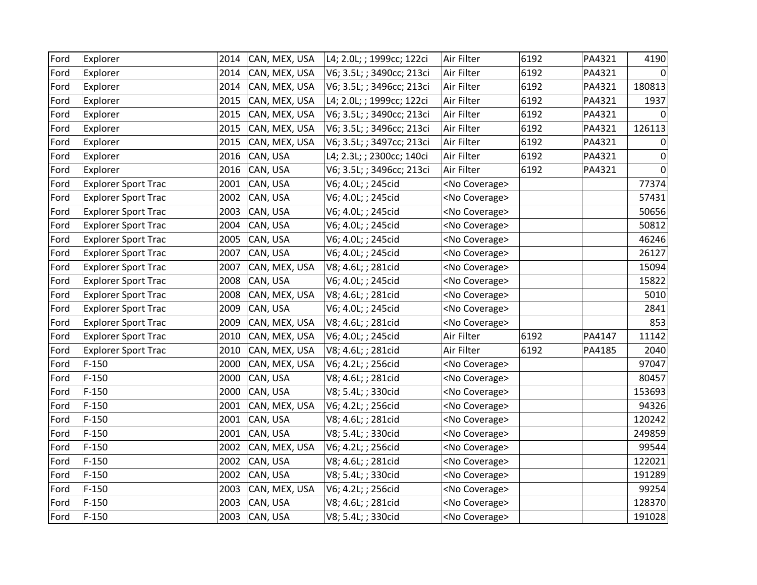| Ford | Explorer                   | 2014 | CAN, MEX, USA | L4; 2.0L; ; 1999cc; 122ci | Air Filter            | 6192 | PA4321 | 4190     |
|------|----------------------------|------|---------------|---------------------------|-----------------------|------|--------|----------|
| Ford | Explorer                   | 2014 | CAN, MEX, USA | V6; 3.5L; ; 3490cc; 213ci | Air Filter            | 6192 | PA4321 | $\Omega$ |
| Ford | Explorer                   | 2014 | CAN, MEX, USA | V6; 3.5L; ; 3496cc; 213ci | Air Filter            | 6192 | PA4321 | 180813   |
| Ford | Explorer                   | 2015 | CAN, MEX, USA | L4; 2.0L; ; 1999cc; 122ci | Air Filter            | 6192 | PA4321 | 1937     |
| Ford | Explorer                   | 2015 | CAN, MEX, USA | V6; 3.5L; ; 3490cc; 213ci | Air Filter            | 6192 | PA4321 |          |
| Ford | Explorer                   | 2015 | CAN, MEX, USA | V6; 3.5L; ; 3496cc; 213ci | Air Filter            | 6192 | PA4321 | 126113   |
| Ford | Explorer                   | 2015 | CAN, MEX, USA | V6; 3.5L; ; 3497cc; 213ci | Air Filter            | 6192 | PA4321 | 0        |
| Ford | Explorer                   | 2016 | CAN, USA      | L4; 2.3L; ; 2300cc; 140ci | Air Filter            | 6192 | PA4321 | 0        |
| Ford | Explorer                   | 2016 | CAN, USA      | V6; 3.5L; ; 3496cc; 213ci | Air Filter            | 6192 | PA4321 | $\Omega$ |
| Ford | <b>Explorer Sport Trac</b> | 2001 | CAN, USA      | V6; 4.0L; ; 245cid        | <no coverage=""></no> |      |        | 77374    |
| Ford | <b>Explorer Sport Trac</b> | 2002 | CAN, USA      | V6; 4.0L; ; 245cid        | <no coverage=""></no> |      |        | 57431    |
| Ford | <b>Explorer Sport Trac</b> | 2003 | CAN, USA      | V6; 4.0L; ; 245cid        | <no coverage=""></no> |      |        | 50656    |
| Ford | <b>Explorer Sport Trac</b> | 2004 | CAN, USA      | V6; 4.0L; ; 245cid        | <no coverage=""></no> |      |        | 50812    |
| Ford | <b>Explorer Sport Trac</b> | 2005 | CAN, USA      | V6; 4.0L; ; 245cid        | <no coverage=""></no> |      |        | 46246    |
| Ford | <b>Explorer Sport Trac</b> | 2007 | CAN, USA      | V6; 4.0L; ; 245cid        | <no coverage=""></no> |      |        | 26127    |
| Ford | <b>Explorer Sport Trac</b> | 2007 | CAN, MEX, USA | V8; 4.6L; ; 281cid        | <no coverage=""></no> |      |        | 15094    |
| Ford | <b>Explorer Sport Trac</b> | 2008 | CAN, USA      | V6; 4.0L; ; 245cid        | <no coverage=""></no> |      |        | 15822    |
| Ford | <b>Explorer Sport Trac</b> | 2008 | CAN, MEX, USA | V8; 4.6L; ; 281cid        | <no coverage=""></no> |      |        | 5010     |
| Ford | <b>Explorer Sport Trac</b> | 2009 | CAN, USA      | V6; 4.0L; ; 245cid        | <no coverage=""></no> |      |        | 2841     |
| Ford | <b>Explorer Sport Trac</b> | 2009 | CAN, MEX, USA | V8; 4.6L; ; 281cid        | <no coverage=""></no> |      |        | 853      |
| Ford | <b>Explorer Sport Trac</b> | 2010 | CAN, MEX, USA | V6; 4.0L; ; 245cid        | Air Filter            | 6192 | PA4147 | 11142    |
| Ford | <b>Explorer Sport Trac</b> | 2010 | CAN, MEX, USA | V8; 4.6L; ; 281cid        | Air Filter            | 6192 | PA4185 | 2040     |
| Ford | $F-150$                    | 2000 | CAN, MEX, USA | V6; 4.2L; ; 256cid        | <no coverage=""></no> |      |        | 97047    |
| Ford | $F-150$                    | 2000 | CAN, USA      | V8; 4.6L; ; 281cid        | <no coverage=""></no> |      |        | 80457    |
| Ford | $F-150$                    | 2000 | CAN, USA      | V8; 5.4L; ; 330cid        | <no coverage=""></no> |      |        | 153693   |
| Ford | $F-150$                    | 2001 | CAN, MEX, USA | V6; 4.2L; ; 256cid        | <no coverage=""></no> |      |        | 94326    |
| Ford | $F-150$                    | 2001 | CAN, USA      | V8; 4.6L; ; 281cid        | <no coverage=""></no> |      |        | 120242   |
| Ford | $F-150$                    | 2001 | CAN, USA      | V8; 5.4L; ; 330cid        | <no coverage=""></no> |      |        | 249859   |
| Ford | $F-150$                    | 2002 | CAN, MEX, USA | V6; 4.2L; ; 256cid        | <no coverage=""></no> |      |        | 99544    |
| Ford | $F-150$                    | 2002 | CAN, USA      | V8; 4.6L; ; 281cid        | <no coverage=""></no> |      |        | 122021   |
| Ford | $F-150$                    | 2002 | CAN, USA      | V8; 5.4L; ; 330cid        | <no coverage=""></no> |      |        | 191289   |
| Ford | $F-150$                    | 2003 | CAN, MEX, USA | V6; 4.2L; ; 256cid        | <no coverage=""></no> |      |        | 99254    |
| Ford | $F-150$                    | 2003 | CAN, USA      | V8; 4.6L; ; 281cid        | <no coverage=""></no> |      |        | 128370   |
| Ford | $F-150$                    | 2003 | CAN, USA      | V8; 5.4L; ; 330cid        | <no coverage=""></no> |      |        | 191028   |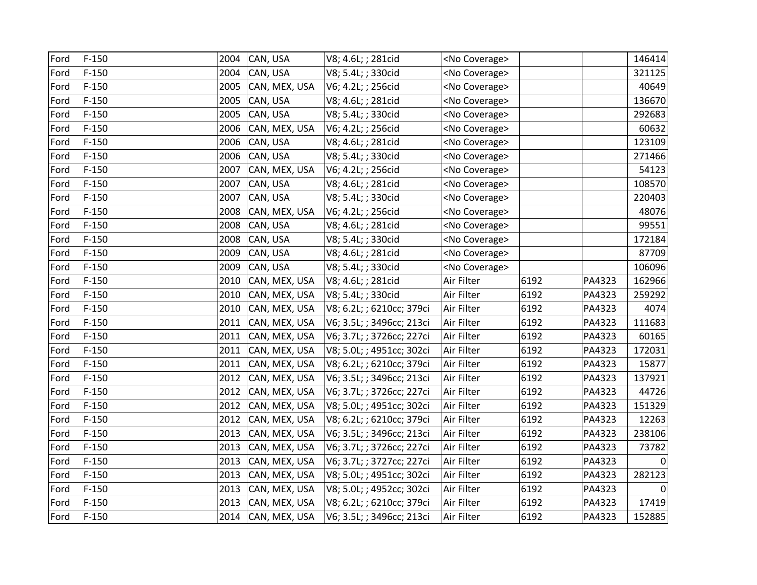| Ford | $F-150$ | 2004 | CAN, USA           | V8; 4.6L; ; 281cid        | <no coverage=""></no> |      |        | 146414 |
|------|---------|------|--------------------|---------------------------|-----------------------|------|--------|--------|
| Ford | $F-150$ | 2004 | CAN, USA           | V8; 5.4L; ; 330cid        | <no coverage=""></no> |      |        | 321125 |
| Ford | $F-150$ | 2005 | CAN, MEX, USA      | V6; 4.2L; ; 256cid        | <no coverage=""></no> |      |        | 40649  |
| Ford | $F-150$ | 2005 | CAN, USA           | V8; 4.6L; ; 281cid        | <no coverage=""></no> |      |        | 136670 |
| Ford | $F-150$ | 2005 | CAN, USA           | V8; 5.4L; ; 330cid        | <no coverage=""></no> |      |        | 292683 |
| Ford | $F-150$ | 2006 | CAN, MEX, USA      | V6; 4.2L; ; 256cid        | <no coverage=""></no> |      |        | 60632  |
| Ford | $F-150$ | 2006 | CAN, USA           | V8; 4.6L; ; 281cid        | <no coverage=""></no> |      |        | 123109 |
| Ford | $F-150$ | 2006 | CAN, USA           | V8; 5.4L; ; 330cid        | <no coverage=""></no> |      |        | 271466 |
| Ford | $F-150$ | 2007 | CAN, MEX, USA      | V6; 4.2L; ; 256cid        | <no coverage=""></no> |      |        | 54123  |
| Ford | $F-150$ | 2007 | CAN, USA           | V8; 4.6L; ; 281cid        | <no coverage=""></no> |      |        | 108570 |
| Ford | $F-150$ | 2007 | CAN, USA           | V8; 5.4L; ; 330cid        | <no coverage=""></no> |      |        | 220403 |
| Ford | $F-150$ | 2008 | CAN, MEX, USA      | V6; 4.2L; ; 256cid        | <no coverage=""></no> |      |        | 48076  |
| Ford | $F-150$ | 2008 | CAN, USA           | V8; 4.6L; ; 281cid        | <no coverage=""></no> |      |        | 99551  |
| Ford | $F-150$ | 2008 | CAN, USA           | V8; 5.4L; ; 330cid        | <no coverage=""></no> |      |        | 172184 |
| Ford | $F-150$ | 2009 | CAN, USA           | V8; 4.6L; ; 281cid        | <no coverage=""></no> |      |        | 87709  |
| Ford | $F-150$ | 2009 | CAN, USA           | V8; 5.4L; ; 330cid        | <no coverage=""></no> |      |        | 106096 |
| Ford | $F-150$ | 2010 | CAN, MEX, USA      | V8; 4.6L; ; 281cid        | Air Filter            | 6192 | PA4323 | 162966 |
| Ford | $F-150$ | 2010 | CAN, MEX, USA      | V8; 5.4L; ; 330cid        | Air Filter            | 6192 | PA4323 | 259292 |
| Ford | $F-150$ | 2010 | CAN, MEX, USA      | V8; 6.2L; ; 6210cc; 379ci | Air Filter            | 6192 | PA4323 | 4074   |
| Ford | $F-150$ | 2011 | CAN, MEX, USA      | V6; 3.5L; ; 3496cc; 213ci | Air Filter            | 6192 | PA4323 | 111683 |
| Ford | $F-150$ | 2011 | CAN, MEX, USA      | V6; 3.7L; ; 3726cc; 227ci | Air Filter            | 6192 | PA4323 | 60165  |
| Ford | $F-150$ | 2011 | CAN, MEX, USA      | V8; 5.0L; ; 4951cc; 302ci | Air Filter            | 6192 | PA4323 | 172031 |
| Ford | $F-150$ | 2011 | CAN, MEX, USA      | V8; 6.2L; ; 6210cc; 379ci | Air Filter            | 6192 | PA4323 | 15877  |
| Ford | $F-150$ | 2012 | CAN, MEX, USA      | V6; 3.5L; ; 3496cc; 213ci | Air Filter            | 6192 | PA4323 | 137921 |
| Ford | $F-150$ | 2012 | CAN, MEX, USA      | V6; 3.7L; ; 3726cc; 227ci | Air Filter            | 6192 | PA4323 | 44726  |
| Ford | $F-150$ | 2012 | CAN, MEX, USA      | V8; 5.0L; ; 4951cc; 302ci | Air Filter            | 6192 | PA4323 | 151329 |
| Ford | $F-150$ | 2012 | CAN, MEX, USA      | V8; 6.2L; ; 6210cc; 379ci | Air Filter            | 6192 | PA4323 | 12263  |
| Ford | $F-150$ | 2013 | CAN, MEX, USA      | V6; 3.5L; ; 3496cc; 213ci | Air Filter            | 6192 | PA4323 | 238106 |
| Ford | $F-150$ | 2013 | CAN, MEX, USA      | V6; 3.7L; ; 3726cc; 227ci | Air Filter            | 6192 | PA4323 | 73782  |
| Ford | $F-150$ | 2013 | CAN, MEX, USA      | V6; 3.7L; ; 3727cc; 227ci | Air Filter            | 6192 | PA4323 | 0      |
| Ford | $F-150$ | 2013 | CAN, MEX, USA      | V8; 5.0L; ; 4951cc; 302ci | Air Filter            | 6192 | PA4323 | 282123 |
| Ford | $F-150$ | 2013 | CAN, MEX, USA      | V8; 5.0L; ; 4952cc; 302ci | Air Filter            | 6192 | PA4323 |        |
| Ford | $F-150$ | 2013 | CAN, MEX, USA      | V8; 6.2L; ; 6210cc; 379ci | Air Filter            | 6192 | PA4323 | 17419  |
| Ford | $F-150$ |      | 2014 CAN, MEX, USA | V6; 3.5L; ; 3496cc; 213ci | Air Filter            | 6192 | PA4323 | 152885 |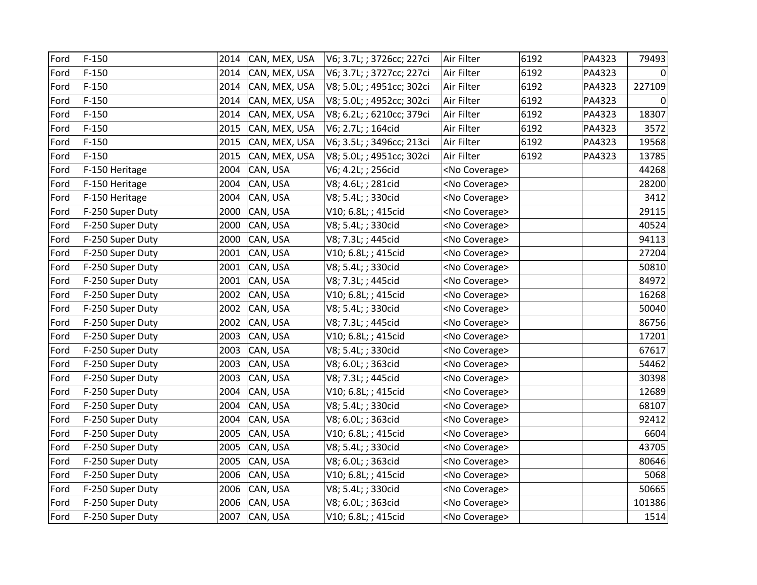| Ford | $F-150$          | 2014 | CAN, MEX, USA | V6; 3.7L; ; 3726cc; 227ci | Air Filter            | 6192 | PA4323 | 79493  |
|------|------------------|------|---------------|---------------------------|-----------------------|------|--------|--------|
| Ford | $F-150$          | 2014 | CAN, MEX, USA | V6; 3.7L; ; 3727cc; 227ci | Air Filter            | 6192 | PA4323 |        |
| Ford | $F-150$          | 2014 | CAN, MEX, USA | V8; 5.0L; ; 4951cc; 302ci | Air Filter            | 6192 | PA4323 | 227109 |
| Ford | $F-150$          | 2014 | CAN, MEX, USA | V8; 5.0L; ; 4952cc; 302ci | Air Filter            | 6192 | PA4323 |        |
| Ford | $F-150$          | 2014 | CAN, MEX, USA | V8; 6.2L; ; 6210cc; 379ci | Air Filter            | 6192 | PA4323 | 18307  |
| Ford | $F-150$          | 2015 | CAN, MEX, USA | V6; 2.7L; ; 164cid        | Air Filter            | 6192 | PA4323 | 3572   |
| Ford | $F-150$          | 2015 | CAN, MEX, USA | V6; 3.5L; ; 3496cc; 213ci | Air Filter            | 6192 | PA4323 | 19568  |
| Ford | $F-150$          | 2015 | CAN, MEX, USA | V8; 5.0L; ; 4951cc; 302ci | Air Filter            | 6192 | PA4323 | 13785  |
| Ford | F-150 Heritage   | 2004 | CAN, USA      | V6; 4.2L; ; 256cid        | <no coverage=""></no> |      |        | 44268  |
| Ford | F-150 Heritage   | 2004 | CAN, USA      | V8; 4.6L; ; 281cid        | <no coverage=""></no> |      |        | 28200  |
| Ford | F-150 Heritage   | 2004 | CAN, USA      | V8; 5.4L; ; 330cid        | <no coverage=""></no> |      |        | 3412   |
| Ford | F-250 Super Duty | 2000 | CAN, USA      | V10; 6.8L; ; 415cid       | <no coverage=""></no> |      |        | 29115  |
| Ford | F-250 Super Duty | 2000 | CAN, USA      | V8; 5.4L; ; 330cid        | <no coverage=""></no> |      |        | 40524  |
| Ford | F-250 Super Duty | 2000 | CAN, USA      | V8; 7.3L; ; 445cid        | <no coverage=""></no> |      |        | 94113  |
| Ford | F-250 Super Duty | 2001 | CAN, USA      | V10; 6.8L; ; 415cid       | <no coverage=""></no> |      |        | 27204  |
| Ford | F-250 Super Duty | 2001 | CAN, USA      | V8; 5.4L; ; 330cid        | <no coverage=""></no> |      |        | 50810  |
| Ford | F-250 Super Duty | 2001 | CAN, USA      | V8; 7.3L; ; 445cid        | <no coverage=""></no> |      |        | 84972  |
| Ford | F-250 Super Duty | 2002 | CAN, USA      | V10; 6.8L; ; 415cid       | <no coverage=""></no> |      |        | 16268  |
| Ford | F-250 Super Duty | 2002 | CAN, USA      | V8; 5.4L; ; 330cid        | <no coverage=""></no> |      |        | 50040  |
| Ford | F-250 Super Duty | 2002 | CAN, USA      | V8; 7.3L; ; 445cid        | <no coverage=""></no> |      |        | 86756  |
| Ford | F-250 Super Duty | 2003 | CAN, USA      | V10; 6.8L; ; 415cid       | <no coverage=""></no> |      |        | 17201  |
| Ford | F-250 Super Duty | 2003 | CAN, USA      | V8; 5.4L; ; 330cid        | <no coverage=""></no> |      |        | 67617  |
| Ford | F-250 Super Duty | 2003 | CAN, USA      | V8; 6.0L; ; 363cid        | <no coverage=""></no> |      |        | 54462  |
| Ford | F-250 Super Duty | 2003 | CAN, USA      | V8; 7.3L; ; 445cid        | <no coverage=""></no> |      |        | 30398  |
| Ford | F-250 Super Duty | 2004 | CAN, USA      | V10; 6.8L; ; 415cid       | <no coverage=""></no> |      |        | 12689  |
| Ford | F-250 Super Duty | 2004 | CAN, USA      | V8; 5.4L; ; 330cid        | <no coverage=""></no> |      |        | 68107  |
| Ford | F-250 Super Duty | 2004 | CAN, USA      | V8; 6.0L; ; 363cid        | <no coverage=""></no> |      |        | 92412  |
| Ford | F-250 Super Duty | 2005 | CAN, USA      | V10; 6.8L; ; 415cid       | <no coverage=""></no> |      |        | 6604   |
| Ford | F-250 Super Duty | 2005 | CAN, USA      | V8; 5.4L; ; 330cid        | <no coverage=""></no> |      |        | 43705  |
| Ford | F-250 Super Duty | 2005 | CAN, USA      | V8; 6.0L; ; 363cid        | <no coverage=""></no> |      |        | 80646  |
| Ford | F-250 Super Duty | 2006 | CAN, USA      | V10; 6.8L; ; 415cid       | <no coverage=""></no> |      |        | 5068   |
| Ford | F-250 Super Duty | 2006 | CAN, USA      | V8; 5.4L; ; 330cid        | <no coverage=""></no> |      |        | 50665  |
| Ford | F-250 Super Duty | 2006 | CAN, USA      | V8; 6.0L; ; 363cid        | <no coverage=""></no> |      |        | 101386 |
| Ford | F-250 Super Duty | 2007 | CAN, USA      | V10; 6.8L; ; 415cid       | <no coverage=""></no> |      |        | 1514   |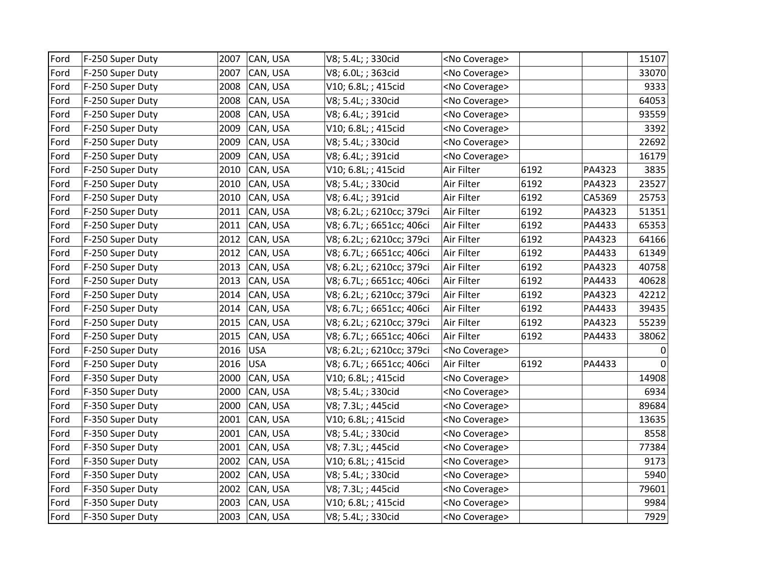| Ford | F-250 Super Duty | 2007 | CAN, USA   | V8; 5.4L; ; 330cid        | <no coverage=""></no> |      |        | 15107        |
|------|------------------|------|------------|---------------------------|-----------------------|------|--------|--------------|
| Ford | F-250 Super Duty | 2007 | CAN, USA   | V8; 6.0L; ; 363cid        | <no coverage=""></no> |      |        | 33070        |
| Ford | F-250 Super Duty | 2008 | CAN, USA   | V10; 6.8L; ; 415cid       | <no coverage=""></no> |      |        | 9333         |
| Ford | F-250 Super Duty | 2008 | CAN, USA   | V8; 5.4L; ; 330cid        | <no coverage=""></no> |      |        | 64053        |
| Ford | F-250 Super Duty | 2008 | CAN, USA   | V8; 6.4L; ; 391cid        | <no coverage=""></no> |      |        | 93559        |
| Ford | F-250 Super Duty | 2009 | CAN, USA   | V10; 6.8L; ; 415cid       | <no coverage=""></no> |      |        | 3392         |
| Ford | F-250 Super Duty | 2009 | CAN, USA   | V8; 5.4L; ; 330cid        | <no coverage=""></no> |      |        | 22692        |
| Ford | F-250 Super Duty | 2009 | CAN, USA   | V8; 6.4L; ; 391cid        | <no coverage=""></no> |      |        | 16179        |
| Ford | F-250 Super Duty | 2010 | CAN, USA   | V10; 6.8L; ; 415cid       | Air Filter            | 6192 | PA4323 | 3835         |
| Ford | F-250 Super Duty | 2010 | CAN, USA   | V8; 5.4L; ; 330cid        | Air Filter            | 6192 | PA4323 | 23527        |
| Ford | F-250 Super Duty | 2010 | CAN, USA   | V8; 6.4L; ; 391cid        | Air Filter            | 6192 | CA5369 | 25753        |
| Ford | F-250 Super Duty | 2011 | CAN, USA   | V8; 6.2L; ; 6210cc; 379ci | Air Filter            | 6192 | PA4323 | 51351        |
| Ford | F-250 Super Duty | 2011 | CAN, USA   | V8; 6.7L; ; 6651cc; 406ci | Air Filter            | 6192 | PA4433 | 65353        |
| Ford | F-250 Super Duty | 2012 | CAN, USA   | V8; 6.2L; ; 6210cc; 379ci | Air Filter            | 6192 | PA4323 | 64166        |
| Ford | F-250 Super Duty | 2012 | CAN, USA   | V8; 6.7L; ; 6651cc; 406ci | Air Filter            | 6192 | PA4433 | 61349        |
| Ford | F-250 Super Duty | 2013 | CAN, USA   | V8; 6.2L; ; 6210cc; 379ci | Air Filter            | 6192 | PA4323 | 40758        |
| Ford | F-250 Super Duty | 2013 | CAN, USA   | V8; 6.7L; ; 6651cc; 406ci | Air Filter            | 6192 | PA4433 | 40628        |
| Ford | F-250 Super Duty | 2014 | CAN, USA   | V8; 6.2L; ; 6210cc; 379ci | Air Filter            | 6192 | PA4323 | 42212        |
| Ford | F-250 Super Duty | 2014 | CAN, USA   | V8; 6.7L; ; 6651cc; 406ci | Air Filter            | 6192 | PA4433 | 39435        |
| Ford | F-250 Super Duty | 2015 | CAN, USA   | V8; 6.2L; ; 6210cc; 379ci | Air Filter            | 6192 | PA4323 | 55239        |
| Ford | F-250 Super Duty | 2015 | CAN, USA   | V8; 6.7L; ; 6651cc; 406ci | Air Filter            | 6192 | PA4433 | 38062        |
| Ford | F-250 Super Duty | 2016 | <b>USA</b> | V8; 6.2L; ; 6210cc; 379ci | <no coverage=""></no> |      |        | 0            |
| Ford | F-250 Super Duty | 2016 | <b>USA</b> | V8; 6.7L; ; 6651cc; 406ci | Air Filter            | 6192 | PA4433 | $\mathbf{0}$ |
| Ford | F-350 Super Duty | 2000 | CAN, USA   | V10; 6.8L; ; 415cid       | <no coverage=""></no> |      |        | 14908        |
| Ford | F-350 Super Duty | 2000 | CAN, USA   | V8; 5.4L; ; 330cid        | <no coverage=""></no> |      |        | 6934         |
| Ford | F-350 Super Duty | 2000 | CAN, USA   | V8; 7.3L; ; 445cid        | <no coverage=""></no> |      |        | 89684        |
| Ford | F-350 Super Duty | 2001 | CAN, USA   | V10; 6.8L; ; 415cid       | <no coverage=""></no> |      |        | 13635        |
| Ford | F-350 Super Duty | 2001 | CAN, USA   | V8; 5.4L; ; 330cid        | <no coverage=""></no> |      |        | 8558         |
| Ford | F-350 Super Duty | 2001 | CAN, USA   | V8; 7.3L; ; 445cid        | <no coverage=""></no> |      |        | 77384        |
| Ford | F-350 Super Duty | 2002 | CAN, USA   | V10; 6.8L; ; 415cid       | <no coverage=""></no> |      |        | 9173         |
| Ford | F-350 Super Duty | 2002 | CAN, USA   | V8; 5.4L; ; 330cid        | <no coverage=""></no> |      |        | 5940         |
| Ford | F-350 Super Duty | 2002 | CAN, USA   | V8; 7.3L; ; 445cid        | <no coverage=""></no> |      |        | 79601        |
| Ford | F-350 Super Duty | 2003 | CAN, USA   | V10; 6.8L; ; 415cid       | <no coverage=""></no> |      |        | 9984         |
| Ford | F-350 Super Duty | 2003 | CAN, USA   | V8; 5.4L; ; 330cid        | <no coverage=""></no> |      |        | 7929         |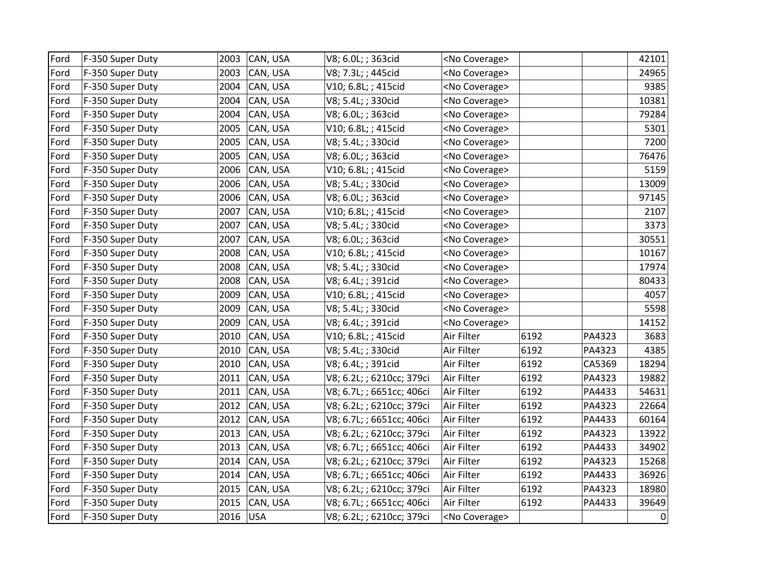| Ford | F-350 Super Duty | 2003 | CAN, USA   | V8; 6.0L; ; 363cid        | <no coverage=""></no> |      |        | 42101       |
|------|------------------|------|------------|---------------------------|-----------------------|------|--------|-------------|
| Ford | F-350 Super Duty | 2003 | CAN, USA   | V8; 7.3L; ; 445cid        | <no coverage=""></no> |      |        | 24965       |
| Ford | F-350 Super Duty | 2004 | CAN, USA   | V10; 6.8L; ; 415cid       | <no coverage=""></no> |      |        | 9385        |
| Ford | F-350 Super Duty | 2004 | CAN, USA   | V8; 5.4L; ; 330cid        | <no coverage=""></no> |      |        | 10381       |
| Ford | F-350 Super Duty | 2004 | CAN, USA   | V8; 6.0L; ; 363cid        | <no coverage=""></no> |      |        | 79284       |
| Ford | F-350 Super Duty | 2005 | CAN, USA   | V10; 6.8L; ; 415cid       | <no coverage=""></no> |      |        | 5301        |
| Ford | F-350 Super Duty | 2005 | CAN, USA   | V8; 5.4L; ; 330cid        | <no coverage=""></no> |      |        | 7200        |
| Ford | F-350 Super Duty | 2005 | CAN, USA   | V8; 6.0L; ; 363cid        | <no coverage=""></no> |      |        | 76476       |
| Ford | F-350 Super Duty | 2006 | CAN, USA   | V10; 6.8L; ; 415cid       | <no coverage=""></no> |      |        | 5159        |
| Ford | F-350 Super Duty | 2006 | CAN, USA   | V8; 5.4L; ; 330cid        | <no coverage=""></no> |      |        | 13009       |
| Ford | F-350 Super Duty | 2006 | CAN, USA   | V8; 6.0L; ; 363cid        | <no coverage=""></no> |      |        | 97145       |
| Ford | F-350 Super Duty | 2007 | CAN, USA   | V10; 6.8L; ; 415cid       | <no coverage=""></no> |      |        | 2107        |
| Ford | F-350 Super Duty | 2007 | CAN, USA   | V8; 5.4L; ; 330cid        | <no coverage=""></no> |      |        | 3373        |
| Ford | F-350 Super Duty | 2007 | CAN, USA   | V8; 6.0L; ; 363cid        | <no coverage=""></no> |      |        | 30551       |
| Ford | F-350 Super Duty | 2008 | CAN, USA   | V10; 6.8L; ; 415cid       | <no coverage=""></no> |      |        | 10167       |
| Ford | F-350 Super Duty | 2008 | CAN, USA   | V8; 5.4L; ; 330cid        | <no coverage=""></no> |      |        | 17974       |
| Ford | F-350 Super Duty | 2008 | CAN, USA   | V8; 6.4L; ; 391cid        | <no coverage=""></no> |      |        | 80433       |
| Ford | F-350 Super Duty | 2009 | CAN, USA   | V10; 6.8L; ; 415cid       | <no coverage=""></no> |      |        | 4057        |
| Ford | F-350 Super Duty | 2009 | CAN, USA   | V8; 5.4L; ; 330cid        | <no coverage=""></no> |      |        | 5598        |
| Ford | F-350 Super Duty | 2009 | CAN, USA   | V8; 6.4L; ; 391cid        | <no coverage=""></no> |      |        | 14152       |
| Ford | F-350 Super Duty | 2010 | CAN, USA   | V10; 6.8L; ; 415cid       | Air Filter            | 6192 | PA4323 | 3683        |
| Ford | F-350 Super Duty | 2010 | CAN, USA   | V8; 5.4L; ; 330cid        | Air Filter            | 6192 | PA4323 | 4385        |
| Ford | F-350 Super Duty | 2010 | CAN, USA   | V8; 6.4L; ; 391cid        | Air Filter            | 6192 | CA5369 | 18294       |
| Ford | F-350 Super Duty | 2011 | CAN, USA   | V8; 6.2L; ; 6210cc; 379ci | Air Filter            | 6192 | PA4323 | 19882       |
| Ford | F-350 Super Duty | 2011 | CAN, USA   | V8; 6.7L; ; 6651cc; 406ci | Air Filter            | 6192 | PA4433 | 54631       |
| Ford | F-350 Super Duty | 2012 | CAN, USA   | V8; 6.2L; ; 6210cc; 379ci | Air Filter            | 6192 | PA4323 | 22664       |
| Ford | F-350 Super Duty | 2012 | CAN, USA   | V8; 6.7L; ; 6651cc; 406ci | Air Filter            | 6192 | PA4433 | 60164       |
| Ford | F-350 Super Duty | 2013 | CAN, USA   | V8; 6.2L; ; 6210cc; 379ci | Air Filter            | 6192 | PA4323 | 13922       |
| Ford | F-350 Super Duty | 2013 | CAN, USA   | V8; 6.7L; ; 6651cc; 406ci | Air Filter            | 6192 | PA4433 | 34902       |
| Ford | F-350 Super Duty | 2014 | CAN, USA   | V8; 6.2L; ; 6210cc; 379ci | Air Filter            | 6192 | PA4323 | 15268       |
| Ford | F-350 Super Duty | 2014 | CAN, USA   | V8; 6.7L; ; 6651cc; 406ci | Air Filter            | 6192 | PA4433 | 36926       |
| Ford | F-350 Super Duty | 2015 | CAN, USA   | V8; 6.2L; ; 6210cc; 379ci | Air Filter            | 6192 | PA4323 | 18980       |
| Ford | F-350 Super Duty | 2015 | CAN, USA   | V8; 6.7L; ; 6651cc; 406ci | Air Filter            | 6192 | PA4433 | 39649       |
| Ford | F-350 Super Duty | 2016 | <b>USA</b> | V8; 6.2L; ; 6210cc; 379ci | <no coverage=""></no> |      |        | $\mathbf 0$ |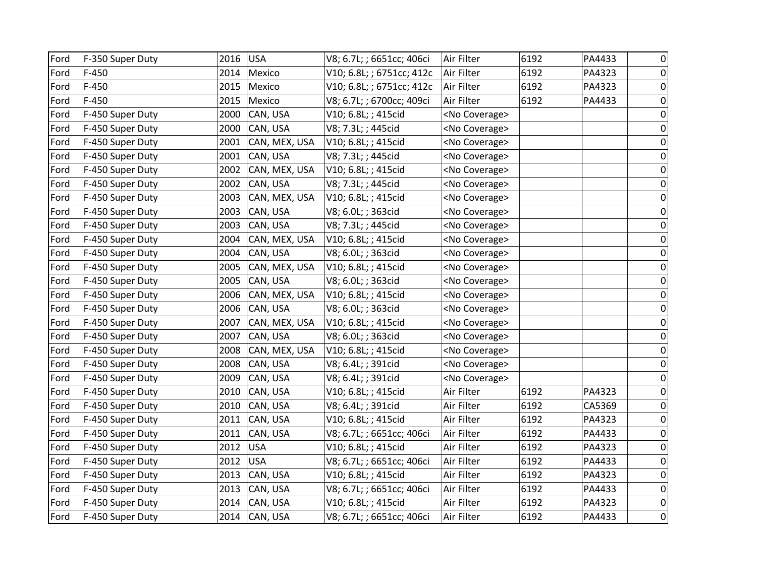| Ford | F-350 Super Duty | 2016 | <b>USA</b>    | V8; 6.7L; ; 6651cc; 406ci | Air Filter            | 6192 | PA4433 | 0           |
|------|------------------|------|---------------|---------------------------|-----------------------|------|--------|-------------|
| Ford | $F-450$          | 2014 | Mexico        | V10; 6.8L; ; 6751cc; 412c | Air Filter            | 6192 | PA4323 | 0           |
| Ford | $F-450$          | 2015 | Mexico        | V10; 6.8L; ; 6751cc; 412c | Air Filter            | 6192 | PA4323 | 0           |
| Ford | $F-450$          | 2015 | Mexico        | V8; 6.7L; ; 6700cc; 409ci | Air Filter            | 6192 | PA4433 | 0           |
| Ford | F-450 Super Duty | 2000 | CAN, USA      | V10; 6.8L; ; 415cid       | <no coverage=""></no> |      |        | $\mathbf 0$ |
| Ford | F-450 Super Duty | 2000 | CAN, USA      | V8; 7.3L; ; 445cid        | <no coverage=""></no> |      |        | 0           |
| Ford | F-450 Super Duty | 2001 | CAN, MEX, USA | V10; 6.8L; ; 415cid       | <no coverage=""></no> |      |        | 0           |
| Ford | F-450 Super Duty | 2001 | CAN, USA      | V8; 7.3L; ; 445cid        | <no coverage=""></no> |      |        | 0           |
| Ford | F-450 Super Duty | 2002 | CAN, MEX, USA | V10; 6.8L; ; 415cid       | <no coverage=""></no> |      |        | 0           |
| Ford | F-450 Super Duty | 2002 | CAN, USA      | V8; 7.3L; ; 445cid        | <no coverage=""></no> |      |        | 0           |
| Ford | F-450 Super Duty | 2003 | CAN, MEX, USA | V10; 6.8L; ; 415cid       | <no coverage=""></no> |      |        | 0           |
| Ford | F-450 Super Duty | 2003 | CAN, USA      | V8; 6.0L; ; 363cid        | <no coverage=""></no> |      |        | 0           |
| Ford | F-450 Super Duty | 2003 | CAN, USA      | V8; 7.3L; ; 445cid        | <no coverage=""></no> |      |        | $\mathbf 0$ |
| Ford | F-450 Super Duty | 2004 | CAN, MEX, USA | V10; 6.8L; ; 415cid       | <no coverage=""></no> |      |        | 0           |
| Ford | F-450 Super Duty | 2004 | CAN, USA      | V8; 6.0L; ; 363cid        | <no coverage=""></no> |      |        | $\mathbf 0$ |
| Ford | F-450 Super Duty | 2005 | CAN, MEX, USA | V10; 6.8L; ; 415cid       | <no coverage=""></no> |      |        | 0           |
| Ford | F-450 Super Duty | 2005 | CAN, USA      | V8; 6.0L; ; 363cid        | <no coverage=""></no> |      |        | 0           |
| Ford | F-450 Super Duty | 2006 | CAN, MEX, USA | V10; 6.8L; ; 415cid       | <no coverage=""></no> |      |        | $\mathbf 0$ |
| Ford | F-450 Super Duty | 2006 | CAN, USA      | V8; 6.0L; ; 363cid        | <no coverage=""></no> |      |        | $\mathbf 0$ |
| Ford | F-450 Super Duty | 2007 | CAN, MEX, USA | V10; 6.8L; ; 415cid       | <no coverage=""></no> |      |        | 0           |
| Ford | F-450 Super Duty | 2007 | CAN, USA      | V8; 6.0L; ; 363cid        | <no coverage=""></no> |      |        | $\mathbf 0$ |
| Ford | F-450 Super Duty | 2008 | CAN, MEX, USA | V10; 6.8L; ; 415cid       | <no coverage=""></no> |      |        | $\mathbf 0$ |
| Ford | F-450 Super Duty | 2008 | CAN, USA      | V8; 6.4L; ; 391cid        | <no coverage=""></no> |      |        | 0           |
| Ford | F-450 Super Duty | 2009 | CAN, USA      | V8; 6.4L; ; 391cid        | <no coverage=""></no> |      |        | 0           |
| Ford | F-450 Super Duty | 2010 | CAN, USA      | V10; 6.8L; ; 415cid       | Air Filter            | 6192 | PA4323 | 0           |
| Ford | F-450 Super Duty | 2010 | CAN, USA      | V8; 6.4L; ; 391cid        | Air Filter            | 6192 | CA5369 | 0           |
| Ford | F-450 Super Duty | 2011 | CAN, USA      | V10; 6.8L; ; 415cid       | Air Filter            | 6192 | PA4323 | $\mathbf 0$ |
| Ford | F-450 Super Duty | 2011 | CAN, USA      | V8; 6.7L; ; 6651cc; 406ci | Air Filter            | 6192 | PA4433 | 0           |
| Ford | F-450 Super Duty | 2012 | <b>USA</b>    | V10; 6.8L; ; 415cid       | Air Filter            | 6192 | PA4323 | $\mathbf 0$ |
| Ford | F-450 Super Duty | 2012 | <b>USA</b>    | V8; 6.7L; ; 6651cc; 406ci | Air Filter            | 6192 | PA4433 | 0           |
| Ford | F-450 Super Duty | 2013 | CAN, USA      | V10; 6.8L; ; 415cid       | Air Filter            | 6192 | PA4323 | 0           |
| Ford | F-450 Super Duty | 2013 | CAN, USA      | V8; 6.7L; ; 6651cc; 406ci | Air Filter            | 6192 | PA4433 | 0           |
| Ford | F-450 Super Duty | 2014 | CAN, USA      | V10; 6.8L; ; 415cid       | Air Filter            | 6192 | PA4323 | $\mathbf 0$ |
| Ford | F-450 Super Duty |      | 2014 CAN, USA | V8; 6.7L; ; 6651cc; 406ci | Air Filter            | 6192 | PA4433 | 0           |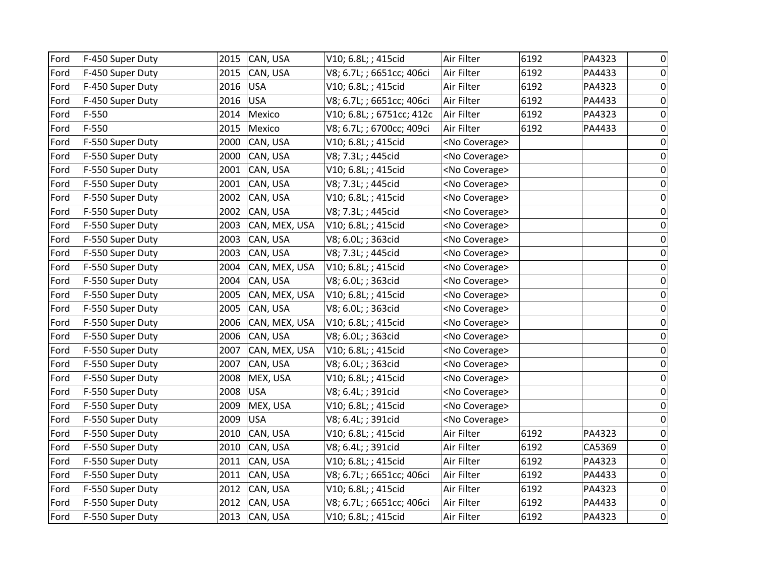| Ford | F-450 Super Duty | 2015 | CAN, USA      | V10; 6.8L; ; 415cid       | Air Filter            | 6192 | PA4323 | 0              |
|------|------------------|------|---------------|---------------------------|-----------------------|------|--------|----------------|
| Ford | F-450 Super Duty | 2015 | CAN, USA      | V8; 6.7L; ; 6651cc; 406ci | Air Filter            | 6192 | PA4433 | $\overline{0}$ |
| Ford | F-450 Super Duty | 2016 | <b>USA</b>    | V10; 6.8L; ; 415cid       | Air Filter            | 6192 | PA4323 | $\overline{0}$ |
| Ford | F-450 Super Duty | 2016 | <b>USA</b>    | V8; 6.7L; ; 6651cc; 406ci | Air Filter            | 6192 | PA4433 | $\overline{0}$ |
| Ford | $F-550$          | 2014 | Mexico        | V10; 6.8L; ; 6751cc; 412c | Air Filter            | 6192 | PA4323 | $\overline{0}$ |
| Ford | $F-550$          | 2015 | Mexico        | V8; 6.7L; ; 6700cc; 409ci | Air Filter            | 6192 | PA4433 | $\overline{0}$ |
| Ford | F-550 Super Duty | 2000 | CAN, USA      | V10; 6.8L; ; 415cid       | <no coverage=""></no> |      |        | $\mathbf 0$    |
| Ford | F-550 Super Duty | 2000 | CAN, USA      | V8; 7.3L; ; 445cid        | <no coverage=""></no> |      |        | $\overline{0}$ |
| Ford | F-550 Super Duty | 2001 | CAN, USA      | V10; 6.8L; ; 415cid       | <no coverage=""></no> |      |        | $\mathbf 0$    |
| Ford | F-550 Super Duty | 2001 | CAN, USA      | V8; 7.3L; ; 445cid        | <no coverage=""></no> |      |        | $\mathbf 0$    |
| Ford | F-550 Super Duty | 2002 | CAN, USA      | V10; 6.8L; ; 415cid       | <no coverage=""></no> |      |        | $\overline{0}$ |
| Ford | F-550 Super Duty | 2002 | CAN, USA      | V8; 7.3L; ; 445cid        | <no coverage=""></no> |      |        | $\mathbf 0$    |
| Ford | F-550 Super Duty | 2003 | CAN, MEX, USA | V10; 6.8L; ; 415cid       | <no coverage=""></no> |      |        | $\mathbf 0$    |
| Ford | F-550 Super Duty | 2003 | CAN, USA      | V8; 6.0L; ; 363cid        | <no coverage=""></no> |      |        | $\overline{0}$ |
| Ford | F-550 Super Duty | 2003 | CAN, USA      | V8; 7.3L; ; 445cid        | <no coverage=""></no> |      |        | $\mathbf 0$    |
| Ford | F-550 Super Duty | 2004 | CAN, MEX, USA | V10; 6.8L; ; 415cid       | <no coverage=""></no> |      |        | $\overline{0}$ |
| Ford | F-550 Super Duty | 2004 | CAN, USA      | V8; 6.0L; ; 363cid        | <no coverage=""></no> |      |        | $\mathbf 0$    |
| Ford | F-550 Super Duty | 2005 | CAN, MEX, USA | V10; 6.8L; ; 415cid       | <no coverage=""></no> |      |        | $\pmb{0}$      |
| Ford | F-550 Super Duty | 2005 | CAN, USA      | V8; 6.0L; ; 363cid        | <no coverage=""></no> |      |        | $\overline{0}$ |
| Ford | F-550 Super Duty | 2006 | CAN, MEX, USA | V10; 6.8L; ; 415cid       | <no coverage=""></no> |      |        | $\overline{0}$ |
| Ford | F-550 Super Duty | 2006 | CAN, USA      | V8; 6.0L; ; 363cid        | <no coverage=""></no> |      |        | $\overline{0}$ |
| Ford | F-550 Super Duty | 2007 | CAN, MEX, USA | V10; 6.8L; ; 415cid       | <no coverage=""></no> |      |        | $\pmb{0}$      |
| Ford | F-550 Super Duty | 2007 | CAN, USA      | V8; 6.0L; ; 363cid        | <no coverage=""></no> |      |        | $\mathbf 0$    |
| Ford | F-550 Super Duty | 2008 | MEX, USA      | V10; 6.8L; ; 415cid       | <no coverage=""></no> |      |        | $\overline{0}$ |
| Ford | F-550 Super Duty | 2008 | USA           | V8; 6.4L; ; 391cid        | <no coverage=""></no> |      |        | $\pmb{0}$      |
| Ford | F-550 Super Duty | 2009 | MEX, USA      | V10; 6.8L; ; 415cid       | <no coverage=""></no> |      |        | $\overline{0}$ |
| Ford | F-550 Super Duty | 2009 | <b>USA</b>    | V8; 6.4L; ; 391cid        | <no coverage=""></no> |      |        | $\overline{0}$ |
| Ford | F-550 Super Duty | 2010 | CAN, USA      | V10; 6.8L; ; 415cid       | Air Filter            | 6192 | PA4323 | $\mathbf 0$    |
| Ford | F-550 Super Duty | 2010 | CAN, USA      | V8; 6.4L; ; 391cid        | Air Filter            | 6192 | CA5369 | $\overline{0}$ |
| Ford | F-550 Super Duty | 2011 | CAN, USA      | V10; 6.8L; ; 415cid       | Air Filter            | 6192 | PA4323 | $\overline{0}$ |
| Ford | F-550 Super Duty | 2011 | CAN, USA      | V8; 6.7L; ; 6651cc; 406ci | Air Filter            | 6192 | PA4433 | $\overline{0}$ |
| Ford | F-550 Super Duty | 2012 | CAN, USA      | V10; 6.8L; ; 415cid       | Air Filter            | 6192 | PA4323 | $\overline{0}$ |
| Ford | F-550 Super Duty | 2012 | CAN, USA      | V8; 6.7L; ; 6651cc; 406ci | Air Filter            | 6192 | PA4433 | $\mathbf 0$    |
| Ford | F-550 Super Duty |      | 2013 CAN, USA | V10; 6.8L; ; 415cid       | Air Filter            | 6192 | PA4323 | $\overline{0}$ |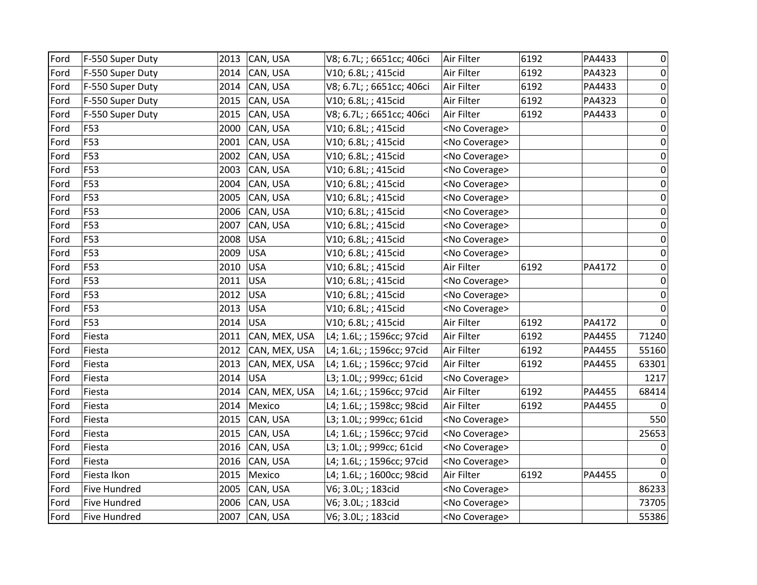| Ford | F-550 Super Duty    | 2013 | CAN, USA      | V8; 6.7L; ; 6651cc; 406ci | Air Filter            | 6192 | PA4433 | 0           |
|------|---------------------|------|---------------|---------------------------|-----------------------|------|--------|-------------|
| Ford | F-550 Super Duty    | 2014 | CAN, USA      | V10; 6.8L; ; 415cid       | Air Filter            | 6192 | PA4323 | 0           |
| Ford | F-550 Super Duty    | 2014 | CAN, USA      | V8; 6.7L; ; 6651cc; 406ci | Air Filter            | 6192 | PA4433 | $\pmb{0}$   |
| Ford | F-550 Super Duty    | 2015 | CAN, USA      | V10; 6.8L; ; 415cid       | Air Filter            | 6192 | PA4323 | 0           |
| Ford | F-550 Super Duty    | 2015 | CAN, USA      | V8; 6.7L; ; 6651cc; 406ci | Air Filter            | 6192 | PA4433 | $\pmb{0}$   |
| Ford | F53                 | 2000 | CAN, USA      | V10; 6.8L; ; 415cid       | <no coverage=""></no> |      |        | $\mathbf 0$ |
| Ford | F53                 | 2001 | CAN, USA      | V10; 6.8L; ; 415cid       | <no coverage=""></no> |      |        | 0           |
| Ford | F53                 | 2002 | CAN, USA      | V10; 6.8L; ; 415cid       | <no coverage=""></no> |      |        | 0           |
| Ford | F53                 | 2003 | CAN, USA      | V10; 6.8L; ; 415cid       | <no coverage=""></no> |      |        | 0           |
| Ford | F53                 | 2004 | CAN, USA      | V10; 6.8L; ; 415cid       | <no coverage=""></no> |      |        | $\mathbf 0$ |
| Ford | F53                 | 2005 | CAN, USA      | V10; 6.8L; ; 415cid       | <no coverage=""></no> |      |        | $\mathbf 0$ |
| Ford | F53                 | 2006 | CAN, USA      | V10; 6.8L; ; 415cid       | <no coverage=""></no> |      |        | 0           |
| Ford | F53                 | 2007 | CAN, USA      | V10; 6.8L; ; 415cid       | <no coverage=""></no> |      |        | $\mathbf 0$ |
| Ford | F53                 | 2008 | <b>USA</b>    | V10; 6.8L; ; 415cid       | <no coverage=""></no> |      |        | $\mathbf 0$ |
| Ford | F53                 | 2009 | <b>USA</b>    | V10; 6.8L; ; 415cid       | <no coverage=""></no> |      |        | $\Omega$    |
| Ford | F53                 | 2010 | <b>USA</b>    | V10; 6.8L; ; 415cid       | Air Filter            | 6192 | PA4172 | $\mathbf 0$ |
| Ford | F53                 | 2011 | <b>USA</b>    | V10; 6.8L; ; 415cid       | <no coverage=""></no> |      |        | $\mathbf 0$ |
| Ford | F53                 | 2012 | <b>USA</b>    | V10; 6.8L; ; 415cid       | <no coverage=""></no> |      |        | 0           |
| Ford | F53                 | 2013 | <b>USA</b>    | V10; 6.8L; ; 415cid       | <no coverage=""></no> |      |        | $\Omega$    |
| Ford | F53                 | 2014 | <b>USA</b>    | V10; 6.8L; ; 415cid       | Air Filter            | 6192 | PA4172 | $\Omega$    |
| Ford | Fiesta              | 2011 | CAN, MEX, USA | L4; 1.6L; ; 1596cc; 97cid | Air Filter            | 6192 | PA4455 | 71240       |
| Ford | Fiesta              | 2012 | CAN, MEX, USA | L4; 1.6L; ; 1596cc; 97cid | Air Filter            | 6192 | PA4455 | 55160       |
| Ford | Fiesta              | 2013 | CAN, MEX, USA | L4; 1.6L; ; 1596cc; 97cid | Air Filter            | 6192 | PA4455 | 63301       |
| Ford | Fiesta              | 2014 | <b>USA</b>    | L3; 1.0L; ; 999cc; 61cid  | <no coverage=""></no> |      |        | 1217        |
| Ford | Fiesta              | 2014 | CAN, MEX, USA | L4; 1.6L; ; 1596cc; 97cid | Air Filter            | 6192 | PA4455 | 68414       |
| Ford | Fiesta              | 2014 | Mexico        | L4; 1.6L; ; 1598cc; 98cid | Air Filter            | 6192 | PA4455 |             |
| Ford | Fiesta              | 2015 | CAN, USA      | L3; 1.0L; ; 999cc; 61cid  | <no coverage=""></no> |      |        | 550         |
| Ford | Fiesta              | 2015 | CAN, USA      | L4; 1.6L; ; 1596cc; 97cid | <no coverage=""></no> |      |        | 25653       |
| Ford | Fiesta              | 2016 | CAN, USA      | L3; 1.0L; ; 999cc; 61cid  | <no coverage=""></no> |      |        | 0           |
| Ford | Fiesta              | 2016 | CAN, USA      | L4; 1.6L; ; 1596cc; 97cid | <no coverage=""></no> |      |        | 0           |
| Ford | Fiesta Ikon         | 2015 | Mexico        | L4; 1.6L; ; 1600cc; 98cid | Air Filter            | 6192 | PA4455 | 0           |
| Ford | Five Hundred        | 2005 | CAN, USA      | V6; 3.0L; ; 183cid        | <no coverage=""></no> |      |        | 86233       |
| Ford | <b>Five Hundred</b> | 2006 | CAN, USA      | V6; 3.0L; ; 183cid        | <no coverage=""></no> |      |        | 73705       |
| Ford | <b>Five Hundred</b> | 2007 | CAN, USA      | V6; 3.0L; ; 183cid        | <no coverage=""></no> |      |        | 55386       |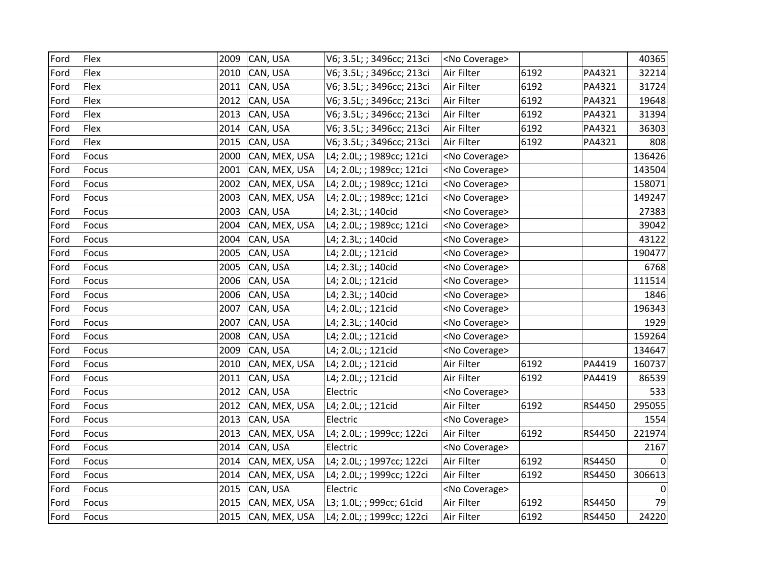| Ford | Flex  | 2009 | CAN, USA      | V6; 3.5L; ; 3496cc; 213ci | <no coverage=""></no> |      |        | 40365        |
|------|-------|------|---------------|---------------------------|-----------------------|------|--------|--------------|
| Ford | Flex  | 2010 | CAN, USA      | V6; 3.5L; ; 3496cc; 213ci | Air Filter            | 6192 | PA4321 | 32214        |
| Ford | Flex  | 2011 | CAN, USA      | V6; 3.5L; ; 3496cc; 213ci | Air Filter            | 6192 | PA4321 | 31724        |
| Ford | Flex  | 2012 | CAN, USA      | V6; 3.5L; ; 3496cc; 213ci | Air Filter            | 6192 | PA4321 | 19648        |
| Ford | Flex  | 2013 | CAN, USA      | V6; 3.5L; ; 3496cc; 213ci | Air Filter            | 6192 | PA4321 | 31394        |
| Ford | Flex  | 2014 | CAN, USA      | V6; 3.5L; ; 3496cc; 213ci | Air Filter            | 6192 | PA4321 | 36303        |
| Ford | Flex  | 2015 | CAN, USA      | V6; 3.5L; ; 3496cc; 213ci | Air Filter            | 6192 | PA4321 | 808          |
| Ford | Focus | 2000 | CAN, MEX, USA | L4; 2.0L; ; 1989cc; 121ci | <no coverage=""></no> |      |        | 136426       |
| Ford | Focus | 2001 | CAN, MEX, USA | L4; 2.0L; ; 1989cc; 121ci | <no coverage=""></no> |      |        | 143504       |
| Ford | Focus | 2002 | CAN, MEX, USA | L4; 2.0L; ; 1989cc; 121ci | <no coverage=""></no> |      |        | 158071       |
| Ford | Focus | 2003 | CAN, MEX, USA | L4; 2.0L; ; 1989cc; 121ci | <no coverage=""></no> |      |        | 149247       |
| Ford | Focus | 2003 | CAN, USA      | L4; 2.3L; ; 140cid        | <no coverage=""></no> |      |        | 27383        |
| Ford | Focus | 2004 | CAN, MEX, USA | L4; 2.0L; ; 1989cc; 121ci | <no coverage=""></no> |      |        | 39042        |
| Ford | Focus | 2004 | CAN, USA      | L4; 2.3L; ; 140cid        | <no coverage=""></no> |      |        | 43122        |
| Ford | Focus | 2005 | CAN, USA      | L4; 2.0L; ; 121cid        | <no coverage=""></no> |      |        | 190477       |
| Ford | Focus | 2005 | CAN, USA      | L4; 2.3L; ; 140cid        | <no coverage=""></no> |      |        | 6768         |
| Ford | Focus | 2006 | CAN, USA      | L4; 2.0L; ; 121cid        | <no coverage=""></no> |      |        | 111514       |
| Ford | Focus | 2006 | CAN, USA      | L4; 2.3L; ; 140cid        | <no coverage=""></no> |      |        | 1846         |
| Ford | Focus | 2007 | CAN, USA      | L4; 2.0L; ; 121cid        | <no coverage=""></no> |      |        | 196343       |
| Ford | Focus | 2007 | CAN, USA      | L4; 2.3L; ; 140cid        | <no coverage=""></no> |      |        | 1929         |
| Ford | Focus | 2008 | CAN, USA      | L4; 2.0L; ; 121cid        | <no coverage=""></no> |      |        | 159264       |
| Ford | Focus | 2009 | CAN, USA      | L4; 2.0L; ; 121cid        | <no coverage=""></no> |      |        | 134647       |
| Ford | Focus | 2010 | CAN, MEX, USA | L4; 2.0L; ; 121cid        | Air Filter            | 6192 | PA4419 | 160737       |
| Ford | Focus | 2011 | CAN, USA      | L4; 2.0L; ; 121cid        | Air Filter            | 6192 | PA4419 | 86539        |
| Ford | Focus | 2012 | CAN, USA      | Electric                  | <no coverage=""></no> |      |        | 533          |
| Ford | Focus | 2012 | CAN, MEX, USA | L4; 2.0L; ; 121cid        | Air Filter            | 6192 | RS4450 | 295055       |
| Ford | Focus | 2013 | CAN, USA      | Electric                  | <no coverage=""></no> |      |        | 1554         |
| Ford | Focus | 2013 | CAN, MEX, USA | L4; 2.0L; ; 1999cc; 122ci | Air Filter            | 6192 | RS4450 | 221974       |
| Ford | Focus | 2014 | CAN, USA      | Electric                  | <no coverage=""></no> |      |        | 2167         |
| Ford | Focus | 2014 | CAN, MEX, USA | L4; 2.0L; ; 1997cc; 122ci | Air Filter            | 6192 | RS4450 | $\Omega$     |
| Ford | Focus | 2014 | CAN, MEX, USA | L4; 2.0L; ; 1999cc; 122ci | Air Filter            | 6192 | RS4450 | 306613       |
| Ford | Focus | 2015 | CAN, USA      | Electric                  | <no coverage=""></no> |      |        | $\mathbf{0}$ |
| Ford | Focus | 2015 | CAN, MEX, USA | L3; 1.0L; ; 999cc; 61cid  | Air Filter            | 6192 | RS4450 | 79           |
| Ford | Focus | 2015 | CAN, MEX, USA | L4; 2.0L; ; 1999cc; 122ci | Air Filter            | 6192 | RS4450 | 24220        |
|      |       |      |               |                           |                       |      |        |              |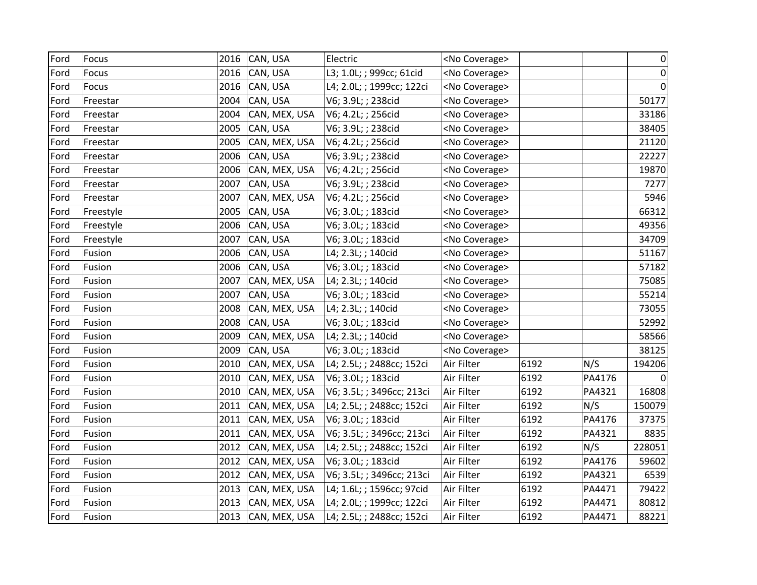| Ford | Focus     | 2016 | CAN, USA      | Electric                  | <no coverage=""></no> |      |        | 0      |
|------|-----------|------|---------------|---------------------------|-----------------------|------|--------|--------|
|      |           |      |               |                           |                       |      |        |        |
| Ford | Focus     | 2016 | CAN, USA      | L3; 1.0L; ; 999cc; 61cid  | <no coverage=""></no> |      |        | 0      |
| Ford | Focus     | 2016 | CAN, USA      | L4; 2.0L; ; 1999cc; 122ci | <no coverage=""></no> |      |        | 0      |
| Ford | Freestar  | 2004 | CAN, USA      | V6; 3.9L; ; 238cid        | <no coverage=""></no> |      |        | 50177  |
| Ford | Freestar  | 2004 | CAN, MEX, USA | V6; 4.2L; ; 256cid        | <no coverage=""></no> |      |        | 33186  |
| Ford | Freestar  | 2005 | CAN, USA      | V6; 3.9L; ; 238cid        | <no coverage=""></no> |      |        | 38405  |
| Ford | Freestar  | 2005 | CAN, MEX, USA | V6; 4.2L; ; 256cid        | <no coverage=""></no> |      |        | 21120  |
| Ford | Freestar  | 2006 | CAN, USA      | V6; 3.9L; ; 238cid        | <no coverage=""></no> |      |        | 22227  |
| Ford | Freestar  | 2006 | CAN, MEX, USA | V6; 4.2L; ; 256cid        | <no coverage=""></no> |      |        | 19870  |
| Ford | Freestar  | 2007 | CAN, USA      | V6; 3.9L; ; 238cid        | <no coverage=""></no> |      |        | 7277   |
| Ford | Freestar  | 2007 | CAN, MEX, USA | V6; 4.2L; ; 256cid        | <no coverage=""></no> |      |        | 5946   |
| Ford | Freestyle | 2005 | CAN, USA      | V6; 3.0L; ; 183cid        | <no coverage=""></no> |      |        | 66312  |
| Ford | Freestyle | 2006 | CAN, USA      | V6; 3.0L; ; 183cid        | <no coverage=""></no> |      |        | 49356  |
| Ford | Freestyle | 2007 | CAN, USA      | V6; 3.0L; ; 183cid        | <no coverage=""></no> |      |        | 34709  |
| Ford | Fusion    | 2006 | CAN, USA      | L4; 2.3L; ; 140cid        | <no coverage=""></no> |      |        | 51167  |
| Ford | Fusion    | 2006 | CAN, USA      | V6; 3.0L; ; 183cid        | <no coverage=""></no> |      |        | 57182  |
| Ford | Fusion    | 2007 | CAN, MEX, USA | L4; 2.3L; ; 140cid        | <no coverage=""></no> |      |        | 75085  |
| Ford | Fusion    | 2007 | CAN, USA      | V6; 3.0L; ; 183cid        | <no coverage=""></no> |      |        | 55214  |
| Ford | Fusion    | 2008 | CAN, MEX, USA | L4; 2.3L; ; 140cid        | <no coverage=""></no> |      |        | 73055  |
| Ford | Fusion    | 2008 | CAN, USA      | V6; 3.0L; ; 183cid        | <no coverage=""></no> |      |        | 52992  |
| Ford | Fusion    | 2009 | CAN, MEX, USA | L4; 2.3L; ; 140cid        | <no coverage=""></no> |      |        | 58566  |
| Ford | Fusion    | 2009 | CAN, USA      | V6; 3.0L; ; 183cid        | <no coverage=""></no> |      |        | 38125  |
| Ford | Fusion    | 2010 | CAN, MEX, USA | L4; 2.5L; ; 2488cc; 152ci | Air Filter            | 6192 | N/S    | 194206 |
| Ford | Fusion    | 2010 | CAN, MEX, USA | V6; 3.0L; ; 183cid        | Air Filter            | 6192 | PA4176 | 0      |
| Ford | Fusion    | 2010 | CAN, MEX, USA | V6; 3.5L; ; 3496cc; 213ci | Air Filter            | 6192 | PA4321 | 16808  |
| Ford | Fusion    | 2011 | CAN, MEX, USA | L4; 2.5L; ; 2488cc; 152ci | Air Filter            | 6192 | N/S    | 150079 |
| Ford | Fusion    | 2011 | CAN, MEX, USA | V6; 3.0L; ; 183cid        | Air Filter            | 6192 | PA4176 | 37375  |
| Ford | Fusion    | 2011 | CAN, MEX, USA | V6; 3.5L; ; 3496cc; 213ci | Air Filter            | 6192 | PA4321 | 8835   |
| Ford | Fusion    | 2012 | CAN, MEX, USA | L4; 2.5L; ; 2488cc; 152ci | Air Filter            | 6192 | N/S    | 228051 |
| Ford | Fusion    | 2012 | CAN, MEX, USA | V6; 3.0L; ; 183cid        | Air Filter            | 6192 | PA4176 | 59602  |
| Ford | Fusion    | 2012 | CAN, MEX, USA | V6; 3.5L; ; 3496cc; 213ci | Air Filter            | 6192 | PA4321 | 6539   |
| Ford | Fusion    | 2013 | CAN, MEX, USA | L4; 1.6L; ; 1596cc; 97cid | Air Filter            | 6192 | PA4471 | 79422  |
| Ford | Fusion    | 2013 | CAN, MEX, USA | L4; 2.0L; ; 1999cc; 122ci | Air Filter            | 6192 | PA4471 | 80812  |
| Ford | Fusion    | 2013 | CAN, MEX, USA | L4; 2.5L; ; 2488cc; 152ci | Air Filter            | 6192 | PA4471 | 88221  |
|      |           |      |               |                           |                       |      |        |        |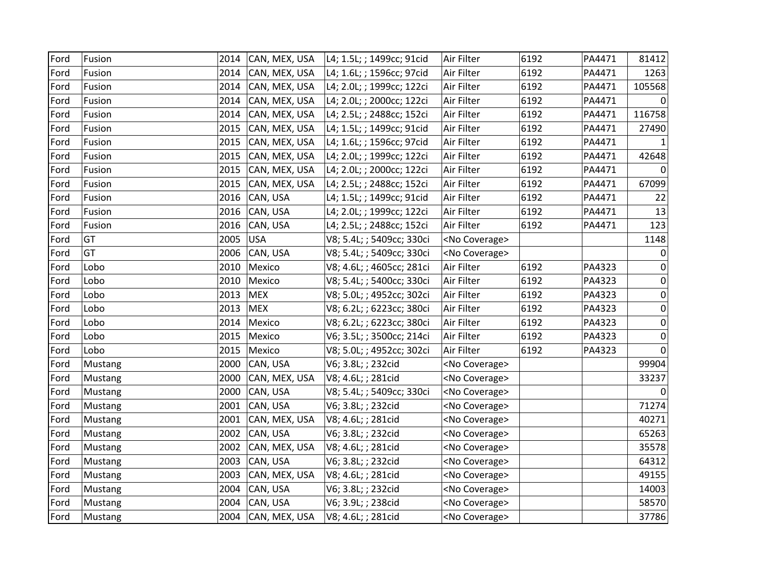| Ford | Fusion  | 2014 | CAN, MEX, USA      | L4; 1.5L; ; 1499cc; 91cid | Air Filter            | 6192 | PA4471 | 81412            |
|------|---------|------|--------------------|---------------------------|-----------------------|------|--------|------------------|
| Ford | Fusion  | 2014 | CAN, MEX, USA      | L4; 1.6L; ; 1596cc; 97cid | Air Filter            | 6192 | PA4471 | 1263             |
| Ford | Fusion  | 2014 | CAN, MEX, USA      | L4; 2.0L; ; 1999cc; 122ci | Air Filter            | 6192 | PA4471 | 105568           |
| Ford | Fusion  | 2014 | CAN, MEX, USA      | L4; 2.0L; ; 2000cc; 122ci | Air Filter            | 6192 | PA4471 |                  |
| Ford | Fusion  | 2014 | CAN, MEX, USA      | L4; 2.5L; ; 2488cc; 152ci | Air Filter            | 6192 | PA4471 | 116758           |
| Ford | Fusion  | 2015 | CAN, MEX, USA      | L4; 1.5L; ; 1499cc; 91cid | Air Filter            | 6192 | PA4471 | 27490            |
| Ford | Fusion  | 2015 | CAN, MEX, USA      | L4; 1.6L; ; 1596cc; 97cid | Air Filter            | 6192 | PA4471 |                  |
| Ford | Fusion  | 2015 | CAN, MEX, USA      | L4; 2.0L; ; 1999cc; 122ci | Air Filter            | 6192 | PA4471 | 42648            |
| Ford | Fusion  | 2015 | CAN, MEX, USA      | L4; 2.0L; ; 2000cc; 122ci | Air Filter            | 6192 | PA4471 | $\Omega$         |
| Ford | Fusion  | 2015 | CAN, MEX, USA      | L4; 2.5L; ; 2488cc; 152ci | Air Filter            | 6192 | PA4471 | 67099            |
| Ford | Fusion  | 2016 | CAN, USA           | L4; 1.5L; ; 1499cc; 91cid | Air Filter            | 6192 | PA4471 | 22               |
| Ford | Fusion  | 2016 | CAN, USA           | L4; 2.0L; ; 1999cc; 122ci | Air Filter            | 6192 | PA4471 | 13               |
| Ford | Fusion  |      | 2016 CAN, USA      | L4; 2.5L; ; 2488cc; 152ci | Air Filter            | 6192 | PA4471 | 123              |
| Ford | GT      | 2005 | <b>USA</b>         | V8; 5.4L; ; 5409cc; 330ci | <no coverage=""></no> |      |        | 1148             |
| Ford | GT      | 2006 | CAN, USA           | V8; 5.4L; ; 5409cc; 330ci | <no coverage=""></no> |      |        | 0                |
| Ford | Lobo    | 2010 | Mexico             | V8; 4.6L; ; 4605cc; 281ci | Air Filter            | 6192 | PA4323 | 0                |
| Ford | Lobo    | 2010 | Mexico             | V8; 5.4L; ; 5400cc; 330ci | Air Filter            | 6192 | PA4323 | 0                |
| Ford | Lobo    | 2013 | <b>MEX</b>         | V8; 5.0L; ; 4952cc; 302ci | Air Filter            | 6192 | PA4323 | $\pmb{0}$        |
| Ford | Lobo    | 2013 | <b>MEX</b>         | V8; 6.2L; ; 6223cc; 380ci | Air Filter            | 6192 | PA4323 | $\boldsymbol{0}$ |
| Ford | Lobo    | 2014 | Mexico             | V8; 6.2L; ; 6223cc; 380ci | Air Filter            | 6192 | PA4323 | 0                |
| Ford | Lobo    | 2015 | Mexico             | V6; 3.5L; ; 3500cc; 214ci | Air Filter            | 6192 | PA4323 | $\boldsymbol{0}$ |
| Ford | Lobo    | 2015 | Mexico             | V8; 5.0L; ; 4952cc; 302ci | Air Filter            | 6192 | PA4323 | 0                |
| Ford | Mustang | 2000 | CAN, USA           | V6; 3.8L; ; 232cid        | <no coverage=""></no> |      |        | 99904            |
| Ford | Mustang | 2000 | CAN, MEX, USA      | V8; 4.6L; ; 281cid        | <no coverage=""></no> |      |        | 33237            |
| Ford | Mustang | 2000 | CAN, USA           | V8; 5.4L; ; 5409cc; 330ci | <no coverage=""></no> |      |        | 0                |
| Ford | Mustang | 2001 | CAN, USA           | V6; 3.8L; ; 232cid        | <no coverage=""></no> |      |        | 71274            |
| Ford | Mustang | 2001 | CAN, MEX, USA      | V8; 4.6L; ; 281cid        | <no coverage=""></no> |      |        | 40271            |
| Ford | Mustang | 2002 | CAN, USA           | V6; 3.8L; ; 232cid        | <no coverage=""></no> |      |        | 65263            |
| Ford | Mustang | 2002 | CAN, MEX, USA      | V8; 4.6L; ; 281cid        | <no coverage=""></no> |      |        | 35578            |
| Ford | Mustang | 2003 | CAN, USA           | V6; 3.8L; ; 232cid        | <no coverage=""></no> |      |        | 64312            |
| Ford | Mustang | 2003 | CAN, MEX, USA      | V8; 4.6L; ; 281cid        | <no coverage=""></no> |      |        | 49155            |
| Ford | Mustang | 2004 | CAN, USA           | V6; 3.8L; ; 232cid        | <no coverage=""></no> |      |        | 14003            |
| Ford | Mustang | 2004 | CAN, USA           | V6; 3.9L; ; 238cid        | <no coverage=""></no> |      |        | 58570            |
| Ford | Mustang |      | 2004 CAN, MEX, USA | V8; 4.6L; ; 281cid        | <no coverage=""></no> |      |        | 37786            |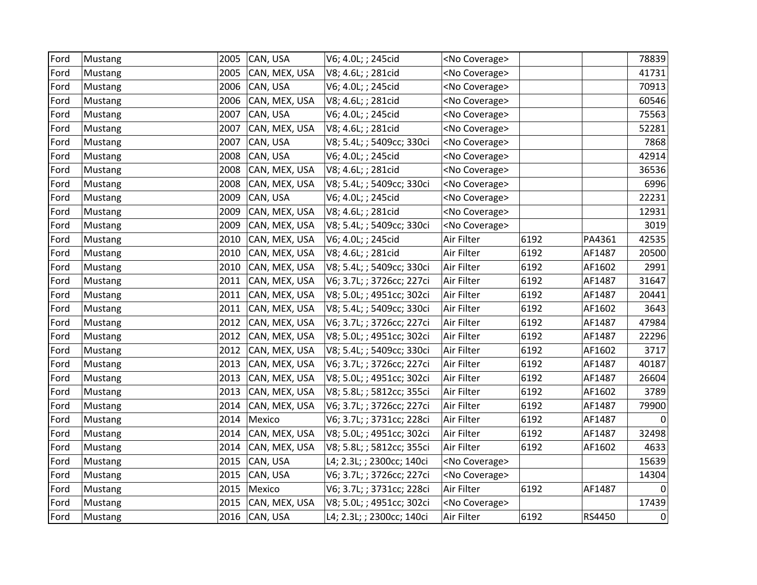| Ford | Mustang | 2005 | CAN, USA      | V6; 4.0L; ; 245cid        | <no coverage=""></no> |      |        | 78839     |
|------|---------|------|---------------|---------------------------|-----------------------|------|--------|-----------|
| Ford | Mustang | 2005 | CAN, MEX, USA | V8; 4.6L; ; 281cid        | <no coverage=""></no> |      |        | 41731     |
| Ford | Mustang | 2006 | CAN, USA      | V6; 4.0L; ; 245cid        | <no coverage=""></no> |      |        | 70913     |
| Ford | Mustang | 2006 | CAN, MEX, USA | V8; 4.6L; ; 281cid        | <no coverage=""></no> |      |        | 60546     |
| Ford | Mustang | 2007 | CAN, USA      | V6; 4.0L; ; 245cid        | <no coverage=""></no> |      |        | 75563     |
| Ford | Mustang | 2007 | CAN, MEX, USA | V8; 4.6L; ; 281cid        | <no coverage=""></no> |      |        | 52281     |
| Ford | Mustang | 2007 | CAN, USA      | V8; 5.4L; ; 5409cc; 330ci | <no coverage=""></no> |      |        | 7868      |
| Ford | Mustang | 2008 | CAN, USA      | V6; 4.0L; ; 245cid        | <no coverage=""></no> |      |        | 42914     |
| Ford | Mustang | 2008 | CAN, MEX, USA | V8; 4.6L; ; 281cid        | <no coverage=""></no> |      |        | 36536     |
| Ford | Mustang | 2008 | CAN, MEX, USA | V8; 5.4L; ; 5409cc; 330ci | <no coverage=""></no> |      |        | 6996      |
| Ford | Mustang | 2009 | CAN, USA      | V6; 4.0L; ; 245cid        | <no coverage=""></no> |      |        | 22231     |
| Ford | Mustang | 2009 | CAN, MEX, USA | V8; 4.6L; ; 281cid        | <no coverage=""></no> |      |        | 12931     |
| Ford | Mustang | 2009 | CAN, MEX, USA | V8; 5.4L; ; 5409cc; 330ci | <no coverage=""></no> |      |        | 3019      |
| Ford | Mustang | 2010 | CAN, MEX, USA | V6; 4.0L; ; 245cid        | Air Filter            | 6192 | PA4361 | 42535     |
| Ford | Mustang | 2010 | CAN, MEX, USA | V8; 4.6L; ; 281cid        | Air Filter            | 6192 | AF1487 | 20500     |
| Ford | Mustang | 2010 | CAN, MEX, USA | V8; 5.4L; ; 5409cc; 330ci | Air Filter            | 6192 | AF1602 | 2991      |
| Ford | Mustang | 2011 | CAN, MEX, USA | V6; 3.7L; ; 3726cc; 227ci | Air Filter            | 6192 | AF1487 | 31647     |
| Ford | Mustang | 2011 | CAN, MEX, USA | V8; 5.0L; ; 4951cc; 302ci | Air Filter            | 6192 | AF1487 | 20441     |
| Ford | Mustang | 2011 | CAN, MEX, USA | V8; 5.4L; ; 5409cc; 330ci | Air Filter            | 6192 | AF1602 | 3643      |
| Ford | Mustang | 2012 | CAN, MEX, USA | V6; 3.7L; ; 3726cc; 227ci | Air Filter            | 6192 | AF1487 | 47984     |
| Ford | Mustang | 2012 | CAN, MEX, USA | V8; 5.0L; ; 4951cc; 302ci | Air Filter            | 6192 | AF1487 | 22296     |
| Ford | Mustang | 2012 | CAN, MEX, USA | V8; 5.4L; ; 5409cc; 330ci | Air Filter            | 6192 | AF1602 | 3717      |
| Ford | Mustang | 2013 | CAN, MEX, USA | V6; 3.7L; ; 3726cc; 227ci | Air Filter            | 6192 | AF1487 | 40187     |
| Ford | Mustang | 2013 | CAN, MEX, USA | V8; 5.0L; ; 4951cc; 302ci | Air Filter            | 6192 | AF1487 | 26604     |
| Ford | Mustang | 2013 | CAN, MEX, USA | V8; 5.8L; ; 5812cc; 355ci | Air Filter            | 6192 | AF1602 | 3789      |
| Ford | Mustang | 2014 | CAN, MEX, USA | V6; 3.7L; ; 3726cc; 227ci | Air Filter            | 6192 | AF1487 | 79900     |
| Ford | Mustang | 2014 | Mexico        | V6; 3.7L; ; 3731cc; 228ci | Air Filter            | 6192 | AF1487 | 0         |
| Ford | Mustang | 2014 | CAN, MEX, USA | V8; 5.0L; ; 4951cc; 302ci | Air Filter            | 6192 | AF1487 | 32498     |
| Ford | Mustang | 2014 | CAN, MEX, USA | V8; 5.8L; ; 5812cc; 355ci | Air Filter            | 6192 | AF1602 | 4633      |
| Ford | Mustang | 2015 | CAN, USA      | L4; 2.3L; ; 2300cc; 140ci | <no coverage=""></no> |      |        | 15639     |
| Ford | Mustang | 2015 | CAN, USA      | V6; 3.7L; ; 3726cc; 227ci | <no coverage=""></no> |      |        | 14304     |
| Ford | Mustang | 2015 | Mexico        | V6; 3.7L; ; 3731cc; 228ci | Air Filter            | 6192 | AF1487 | 0         |
| Ford | Mustang | 2015 | CAN, MEX, USA | V8; 5.0L; ; 4951cc; 302ci | <no coverage=""></no> |      |        | 17439     |
| Ford | Mustang |      | 2016 CAN, USA | L4; 2.3L; ; 2300cc; 140ci | Air Filter            | 6192 | RS4450 | $\pmb{0}$ |
|      |         |      |               |                           |                       |      |        |           |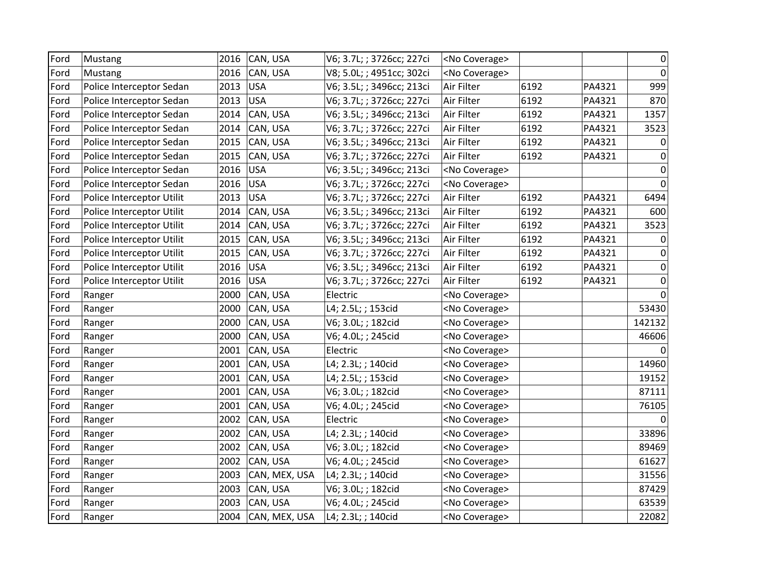| Ford | Mustang                   | 2016 | CAN, USA      | V6; 3.7L; ; 3726cc; 227ci | <no coverage=""></no> |      |        | 0           |
|------|---------------------------|------|---------------|---------------------------|-----------------------|------|--------|-------------|
| Ford | Mustang                   | 2016 | CAN, USA      | V8; 5.0L; ; 4951cc; 302ci | <no coverage=""></no> |      |        | $\Omega$    |
| Ford | Police Interceptor Sedan  | 2013 | <b>USA</b>    | V6; 3.5L; ; 3496cc; 213ci | Air Filter            | 6192 | PA4321 | 999         |
| Ford | Police Interceptor Sedan  | 2013 | <b>USA</b>    | V6; 3.7L; ; 3726cc; 227ci | Air Filter            | 6192 | PA4321 | 870         |
| Ford | Police Interceptor Sedan  | 2014 | CAN, USA      | V6; 3.5L; ; 3496cc; 213ci | Air Filter            | 6192 | PA4321 | 1357        |
| Ford | Police Interceptor Sedan  | 2014 | CAN, USA      | V6; 3.7L; ; 3726cc; 227ci | Air Filter            | 6192 | PA4321 | 3523        |
| Ford | Police Interceptor Sedan  | 2015 | CAN, USA      | V6; 3.5L; ; 3496cc; 213ci | Air Filter            | 6192 | PA4321 | 0           |
| Ford | Police Interceptor Sedan  | 2015 | CAN, USA      | V6; 3.7L; ; 3726cc; 227ci | Air Filter            | 6192 | PA4321 | 0           |
| Ford | Police Interceptor Sedan  | 2016 | <b>USA</b>    | V6; 3.5L; ; 3496cc; 213ci | <no coverage=""></no> |      |        | 0           |
| Ford | Police Interceptor Sedan  | 2016 | <b>USA</b>    | V6; 3.7L; ; 3726cc; 227ci | <no coverage=""></no> |      |        | $\mathbf 0$ |
| Ford | Police Interceptor Utilit | 2013 | <b>USA</b>    | V6; 3.7L; ; 3726cc; 227ci | Air Filter            | 6192 | PA4321 | 6494        |
| Ford | Police Interceptor Utilit | 2014 | CAN, USA      | V6; 3.5L; ; 3496cc; 213ci | Air Filter            | 6192 | PA4321 | 600         |
| Ford | Police Interceptor Utilit | 2014 | CAN, USA      | V6; 3.7L; ; 3726cc; 227ci | Air Filter            | 6192 | PA4321 | 3523        |
| Ford | Police Interceptor Utilit | 2015 | CAN, USA      | V6; 3.5L; ; 3496cc; 213ci | Air Filter            | 6192 | PA4321 | 0           |
| Ford | Police Interceptor Utilit | 2015 | CAN, USA      | V6; 3.7L; ; 3726cc; 227ci | Air Filter            | 6192 | PA4321 | 0           |
| Ford | Police Interceptor Utilit | 2016 | <b>USA</b>    | V6; 3.5L; ; 3496cc; 213ci | Air Filter            | 6192 | PA4321 | 0           |
| Ford | Police Interceptor Utilit | 2016 | <b>USA</b>    | V6; 3.7L; ; 3726cc; 227ci | Air Filter            | 6192 | PA4321 | 0           |
| Ford | Ranger                    | 2000 | CAN, USA      | Electric                  | <no coverage=""></no> |      |        | $\Omega$    |
| Ford | Ranger                    | 2000 | CAN, USA      | L4; 2.5L; ; 153cid        | <no coverage=""></no> |      |        | 53430       |
| Ford | Ranger                    | 2000 | CAN, USA      | V6; 3.0L; ; 182cid        | <no coverage=""></no> |      |        | 142132      |
| Ford | Ranger                    | 2000 | CAN, USA      | V6; 4.0L; ; 245cid        | <no coverage=""></no> |      |        | 46606       |
| Ford | Ranger                    | 2001 | CAN, USA      | Electric                  | <no coverage=""></no> |      |        |             |
| Ford | Ranger                    | 2001 | CAN, USA      | L4; 2.3L; ; 140cid        | <no coverage=""></no> |      |        | 14960       |
| Ford | Ranger                    | 2001 | CAN, USA      | L4; 2.5L; ; 153cid        | <no coverage=""></no> |      |        | 19152       |
| Ford | Ranger                    | 2001 | CAN, USA      | V6; 3.0L; ; 182cid        | <no coverage=""></no> |      |        | 87111       |
| Ford | Ranger                    | 2001 | CAN, USA      | V6; 4.0L; ; 245cid        | <no coverage=""></no> |      |        | 76105       |
| Ford | Ranger                    | 2002 | CAN, USA      | Electric                  | <no coverage=""></no> |      |        | 0           |
| Ford | Ranger                    | 2002 | CAN, USA      | L4; 2.3L; ; 140cid        | <no coverage=""></no> |      |        | 33896       |
| Ford | Ranger                    | 2002 | CAN, USA      | V6; 3.0L; ; 182cid        | <no coverage=""></no> |      |        | 89469       |
| Ford | Ranger                    | 2002 | CAN, USA      | V6; 4.0L; ; 245cid        | <no coverage=""></no> |      |        | 61627       |
| Ford | Ranger                    | 2003 | CAN, MEX, USA | L4; 2.3L; ; 140cid        | <no coverage=""></no> |      |        | 31556       |
| Ford | Ranger                    | 2003 | CAN, USA      | V6; 3.0L; ; 182cid        | <no coverage=""></no> |      |        | 87429       |
| Ford | Ranger                    | 2003 | CAN, USA      | V6; 4.0L; ; 245cid        | <no coverage=""></no> |      |        | 63539       |
| Ford | Ranger                    | 2004 | CAN, MEX, USA | L4; 2.3L; ; 140cid        | <no coverage=""></no> |      |        | 22082       |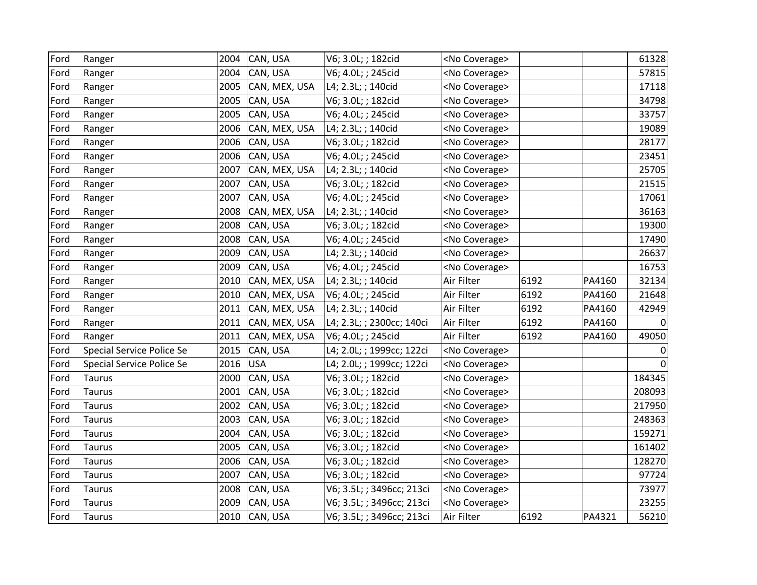| Ford | Ranger                           | 2004 | CAN, USA      | V6; 3.0L; ; 182cid        | <no coverage=""></no> |      |        | 61328        |
|------|----------------------------------|------|---------------|---------------------------|-----------------------|------|--------|--------------|
| Ford | Ranger                           | 2004 | CAN, USA      | V6; 4.0L; ; 245cid        | <no coverage=""></no> |      |        | 57815        |
| Ford | Ranger                           | 2005 | CAN, MEX, USA | L4; 2.3L; ; 140cid        | <no coverage=""></no> |      |        | 17118        |
| Ford | Ranger                           | 2005 | CAN, USA      | V6; 3.0L; ; 182cid        | <no coverage=""></no> |      |        | 34798        |
| Ford | Ranger                           | 2005 | CAN, USA      | V6; 4.0L; ; 245cid        | <no coverage=""></no> |      |        | 33757        |
| Ford | Ranger                           | 2006 | CAN, MEX, USA | L4; 2.3L; ; 140cid        | <no coverage=""></no> |      |        | 19089        |
| Ford | Ranger                           | 2006 | CAN, USA      | V6; 3.0L; ; 182cid        | <no coverage=""></no> |      |        | 28177        |
| Ford | Ranger                           | 2006 | CAN, USA      | V6; 4.0L; ; 245cid        | <no coverage=""></no> |      |        | 23451        |
| Ford | Ranger                           | 2007 | CAN, MEX, USA | L4; 2.3L; ; 140cid        | <no coverage=""></no> |      |        | 25705        |
| Ford | Ranger                           | 2007 | CAN, USA      | V6; 3.0L; ; 182cid        | <no coverage=""></no> |      |        | 21515        |
| Ford | Ranger                           | 2007 | CAN, USA      | V6; 4.0L; ; 245cid        | <no coverage=""></no> |      |        | 17061        |
| Ford | Ranger                           | 2008 | CAN, MEX, USA | L4; 2.3L; ; 140cid        | <no coverage=""></no> |      |        | 36163        |
| Ford | Ranger                           | 2008 | CAN, USA      | V6; 3.0L; ; 182cid        | <no coverage=""></no> |      |        | 19300        |
| Ford | Ranger                           | 2008 | CAN, USA      | V6; 4.0L; ; 245cid        | <no coverage=""></no> |      |        | 17490        |
| Ford | Ranger                           | 2009 | CAN, USA      | L4; 2.3L; ; 140cid        | <no coverage=""></no> |      |        | 26637        |
| Ford | Ranger                           | 2009 | CAN, USA      | V6; 4.0L; ; 245cid        | <no coverage=""></no> |      |        | 16753        |
| Ford | Ranger                           | 2010 | CAN, MEX, USA | L4; 2.3L; ; 140cid        | Air Filter            | 6192 | PA4160 | 32134        |
| Ford | Ranger                           | 2010 | CAN, MEX, USA | V6; 4.0L; ; 245cid        | Air Filter            | 6192 | PA4160 | 21648        |
| Ford | Ranger                           | 2011 | CAN, MEX, USA | L4; 2.3L; ; 140cid        | Air Filter            | 6192 | PA4160 | 42949        |
| Ford | Ranger                           | 2011 | CAN, MEX, USA | L4; 2.3L; ; 2300cc; 140ci | Air Filter            | 6192 | PA4160 | <sup>0</sup> |
| Ford | Ranger                           | 2011 | CAN, MEX, USA | V6; 4.0L; ; 245cid        | Air Filter            | 6192 | PA4160 | 49050        |
| Ford | <b>Special Service Police Se</b> | 2015 | CAN, USA      | L4; 2.0L; ; 1999cc; 122ci | <no coverage=""></no> |      |        | 0            |
| Ford | <b>Special Service Police Se</b> | 2016 | <b>USA</b>    | L4; 2.0L; ; 1999cc; 122ci | <no coverage=""></no> |      |        | 0            |
| Ford | <b>Taurus</b>                    | 2000 | CAN, USA      | V6; 3.0L; ; 182cid        | <no coverage=""></no> |      |        | 184345       |
| Ford | <b>Taurus</b>                    | 2001 | CAN, USA      | V6; 3.0L; ; 182cid        | <no coverage=""></no> |      |        | 208093       |
| Ford | <b>Taurus</b>                    | 2002 | CAN, USA      | V6; 3.0L; ; 182cid        | <no coverage=""></no> |      |        | 217950       |
| Ford | <b>Taurus</b>                    | 2003 | CAN, USA      | V6; 3.0L; ; 182cid        | <no coverage=""></no> |      |        | 248363       |
| Ford | <b>Taurus</b>                    | 2004 | CAN, USA      | V6; 3.0L; ; 182cid        | <no coverage=""></no> |      |        | 159271       |
| Ford | <b>Taurus</b>                    | 2005 | CAN, USA      | V6; 3.0L; ; 182cid        | <no coverage=""></no> |      |        | 161402       |
| Ford | <b>Taurus</b>                    | 2006 | CAN, USA      | V6; 3.0L; ; 182cid        | <no coverage=""></no> |      |        | 128270       |
| Ford | <b>Taurus</b>                    | 2007 | CAN, USA      | V6; 3.0L; ; 182cid        | <no coverage=""></no> |      |        | 97724        |
| Ford | <b>Taurus</b>                    | 2008 | CAN, USA      | V6; 3.5L; ; 3496cc; 213ci | <no coverage=""></no> |      |        | 73977        |
| Ford | <b>Taurus</b>                    | 2009 | CAN, USA      | V6; 3.5L; ; 3496cc; 213ci | <no coverage=""></no> |      |        | 23255        |
| Ford | <b>Taurus</b>                    |      | 2010 CAN, USA | V6; 3.5L; ; 3496cc; 213ci | Air Filter            | 6192 | PA4321 | 56210        |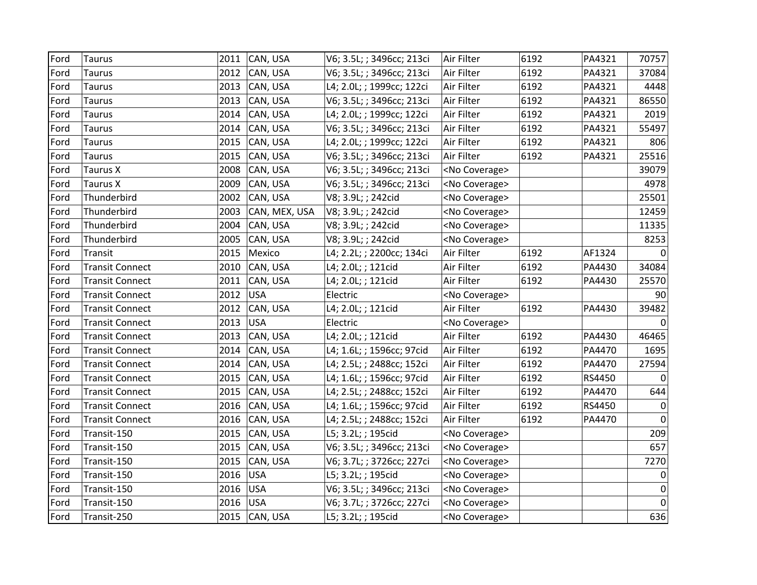| Ford | Taurus                 | 2011 | CAN, USA      | V6; 3.5L; ; 3496cc; 213ci | Air Filter            | 6192 | PA4321 | 70757            |
|------|------------------------|------|---------------|---------------------------|-----------------------|------|--------|------------------|
| Ford | <b>Taurus</b>          |      | 2012 CAN, USA | V6; 3.5L; ; 3496cc; 213ci | Air Filter            | 6192 | PA4321 | 37084            |
| Ford | <b>Taurus</b>          |      | 2013 CAN, USA | L4; 2.0L; ; 1999cc; 122ci | Air Filter            | 6192 | PA4321 | 4448             |
| Ford | <b>Taurus</b>          | 2013 | CAN, USA      | V6; 3.5L; ; 3496cc; 213ci | Air Filter            | 6192 | PA4321 | 86550            |
| Ford | <b>Taurus</b>          | 2014 | CAN, USA      | L4; 2.0L; ; 1999cc; 122ci | Air Filter            | 6192 | PA4321 | 2019             |
| Ford | <b>Taurus</b>          | 2014 | CAN, USA      | V6; 3.5L; ; 3496cc; 213ci | Air Filter            | 6192 | PA4321 | 55497            |
| Ford | <b>Taurus</b>          | 2015 | CAN, USA      | L4; 2.0L; ; 1999cc; 122ci | Air Filter            | 6192 | PA4321 | 806              |
| Ford | <b>Taurus</b>          | 2015 | CAN, USA      | V6; 3.5L; ; 3496cc; 213ci | Air Filter            | 6192 | PA4321 | 25516            |
| Ford | <b>Taurus X</b>        | 2008 | CAN, USA      | V6; 3.5L; ; 3496cc; 213ci | <no coverage=""></no> |      |        | 39079            |
| Ford | <b>Taurus X</b>        | 2009 | CAN, USA      | V6; 3.5L; ; 3496cc; 213ci | <no coverage=""></no> |      |        | 4978             |
| Ford | Thunderbird            | 2002 | CAN, USA      | V8; 3.9L; ; 242cid        | <no coverage=""></no> |      |        | 25501            |
| Ford | Thunderbird            | 2003 | CAN, MEX, USA | V8; 3.9L; ; 242cid        | <no coverage=""></no> |      |        | 12459            |
| Ford | Thunderbird            | 2004 | CAN, USA      | V8; 3.9L; ; 242cid        | <no coverage=""></no> |      |        | 11335            |
| Ford | Thunderbird            | 2005 | CAN, USA      | V8; 3.9L; ; 242cid        | <no coverage=""></no> |      |        | 8253             |
| Ford | Transit                | 2015 | Mexico        | L4; 2.2L; ; 2200cc; 134ci | Air Filter            | 6192 | AF1324 | $\Omega$         |
| Ford | <b>Transit Connect</b> | 2010 | CAN, USA      | L4; 2.0L; ; 121cid        | Air Filter            | 6192 | PA4430 | 34084            |
| Ford | <b>Transit Connect</b> | 2011 | CAN, USA      | L4; 2.0L; ; 121cid        | Air Filter            | 6192 | PA4430 | 25570            |
| Ford | <b>Transit Connect</b> | 2012 | <b>USA</b>    | Electric                  | <no coverage=""></no> |      |        | 90               |
| Ford | <b>Transit Connect</b> | 2012 | CAN, USA      | L4; 2.0L; ; 121cid        | Air Filter            | 6192 | PA4430 | 39482            |
| Ford | <b>Transit Connect</b> | 2013 | <b>USA</b>    | Electric                  | <no coverage=""></no> |      |        | $\Omega$         |
| Ford | <b>Transit Connect</b> | 2013 | CAN, USA      | L4; 2.0L; ; 121cid        | Air Filter            | 6192 | PA4430 | 46465            |
| Ford | <b>Transit Connect</b> | 2014 | CAN, USA      | L4; 1.6L; ; 1596cc; 97cid | Air Filter            | 6192 | PA4470 | 1695             |
| Ford | <b>Transit Connect</b> | 2014 | CAN, USA      | L4; 2.5L; ; 2488cc; 152ci | Air Filter            | 6192 | PA4470 | 27594            |
| Ford | <b>Transit Connect</b> |      | 2015 CAN, USA | L4; 1.6L; ; 1596cc; 97cid | Air Filter            | 6192 | RS4450 | $\Omega$         |
| Ford | <b>Transit Connect</b> | 2015 | CAN, USA      | L4; 2.5L; ; 2488cc; 152ci | Air Filter            | 6192 | PA4470 | 644              |
| Ford | <b>Transit Connect</b> | 2016 | CAN, USA      | L4; 1.6L; ; 1596cc; 97cid | Air Filter            | 6192 | RS4450 | $\mathbf 0$      |
| Ford | <b>Transit Connect</b> | 2016 | CAN, USA      | L4; 2.5L; ; 2488cc; 152ci | Air Filter            | 6192 | PA4470 | $\mathbf 0$      |
| Ford | Transit-150            | 2015 | CAN, USA      | L5; 3.2L; ; 195cid        | <no coverage=""></no> |      |        | 209              |
| Ford | Transit-150            | 2015 | CAN, USA      | V6; 3.5L; ; 3496cc; 213ci | <no coverage=""></no> |      |        | 657              |
| Ford | Transit-150            | 2015 | CAN, USA      | V6; 3.7L; ; 3726cc; 227ci | <no coverage=""></no> |      |        | 7270             |
| Ford | Transit-150            | 2016 | <b>USA</b>    | L5; 3.2L; ; 195cid        | <no coverage=""></no> |      |        | $\boldsymbol{0}$ |
| Ford | Transit-150            | 2016 | <b>USA</b>    | V6; 3.5L; ; 3496cc; 213ci | <no coverage=""></no> |      |        | $\mathbf 0$      |
| Ford | Transit-150            | 2016 | <b>USA</b>    | V6; 3.7L; ; 3726cc; 227ci | <no coverage=""></no> |      |        | $\mathbf 0$      |
| Ford | Transit-250            |      | 2015 CAN, USA | L5; 3.2L; ; 195cid        | <no coverage=""></no> |      |        | 636              |